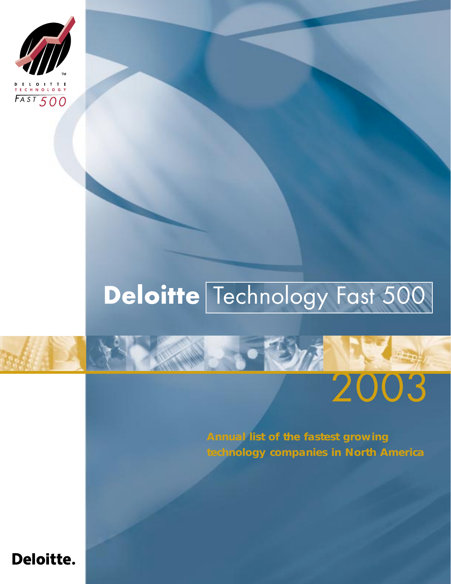

# **Deloitte** Technology Fast 500

**Annual list of the fastest growing technology companies in North America**

2003

## **Deloitte.**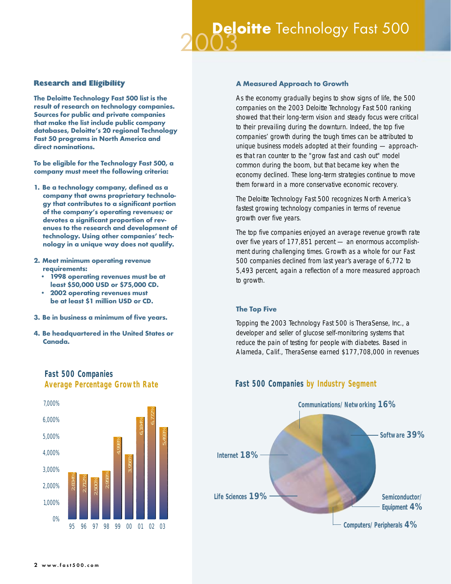#### Research and Eligibility

**The Deloitte Technology Fast 500 list is the result of research on technology companies. Sources for public and private companies that make the list include public company databases, Deloitte's 20 regional Technology Fast 50 programs in North America and direct nominations.** 

**To be eligible for the Technology Fast 500, a company must meet the following criteria:**

- **1. Be a technology company, defined as a company that owns proprietary technology that contributes to a significant portion of the company's operating revenues; or devotes a significant proportion of revenues to the research and development of technology. Using other companies' technology in a unique way does not qualify.**
- **2. Meet minimum operating revenue requirements:**
	- **1998 operating revenues must be at least \$50,000 USD or \$75,000 CD.**
	- **2002 operating revenues must be at least \$1 million USD or CD.**
- **3. Be in business a minimum of five years.**
- **4. Be headquartered in the United States or Canada.**



## *Fast 500 Companies*

#### **A Measured Approach to Growth**

As the economy gradually begins to show signs of life, the 500 companies on the 2003 Deloitte Technology Fast 500 ranking showed that their long-term vision and steady focus were critical to their prevailing during the downturn. Indeed, the top five companies' growth during the tough times can be attributed to unique business models adopted at their founding — approaches that ran counter to the "grow fast and cash out" model common during the boom, but that became key when the economy declined. These long-term strategies continue to move them forward in a more conservative economic recovery.

The Deloitte Technology Fast 500 recognizes North America's fastest growing technology companies in terms of revenue growth over five years.

The top five companies enjoyed an average revenue growth rate over five years of 177,851 percent — an enormous accomplishment during challenging times. Growth as a whole for our Fast 500 companies declined from last year's average of 6,772 to 5,493 percent, again a reflection of a more measured approach to growth.

#### **The Top Five**

Topping the 2003 Technology Fast 500 is TheraSense, Inc., a developer and seller of glucose self-monitoring systems that reduce the pain of testing for people with diabetes. Based in Alameda, Calif., TheraSense earned \$177,708,000 in revenues



#### *Average Percentage Growth Rate Fast 500 Companies by Industry Segment*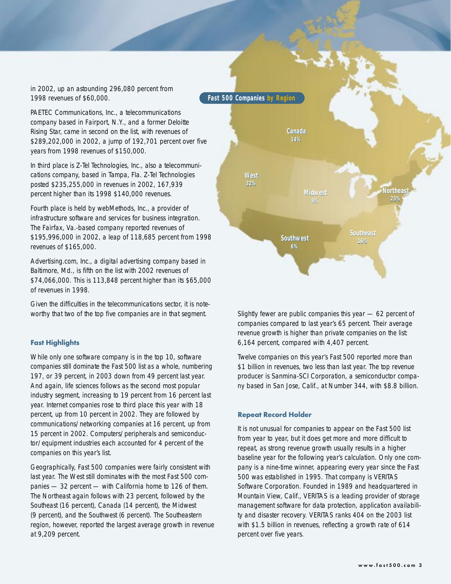in 2002, up an astounding 296,080 percent from 1998 revenues of \$60,000.

PAETEC Communications, Inc., a telecommunications company based in Fairport, N.Y., and a former Deloitte Rising Star, came in second on the list, with revenues of \$289,202,000 in 2002, a jump of 192,701 percent over five years from 1998 revenues of \$150,000.

In third place is Z-Tel Technologies, Inc., also a telecommunications company, based in Tampa, Fla. Z-Tel Technologies posted \$235,255,000 in revenues in 2002, 167,939 percent higher than its 1998 \$140,000 revenues.

Fourth place is held by webMethods, Inc., a provider of infrastructure software and services for business integration. The Fairfax, Va.-based company reported revenues of \$195,996,000 in 2002, a leap of 118,685 percent from 1998 revenues of \$165,000.

Advertising.com, Inc., a digital advertising company based in Baltimore, Md., is fifth on the list with 2002 revenues of \$74,066,000. This is 113,848 percent higher than its \$65,000 of revenues in 1998.

Given the difficulties in the telecommunications sector, it is noteworthy that two of the top five companies are in that segment.

#### **Fast Highlights**

While only one software company is in the top 10, software companies still dominate the Fast 500 list as a whole, numbering 197, or 39 percent, in 2003 down from 49 percent last year. And again, life sciences follows as the second most popular industry segment, increasing to 19 percent from 16 percent last year. Internet companies rose to third place this year with 18 percent, up from 10 percent in 2002. They are followed by communications/networking companies at 16 percent, up from 15 percent in 2002. Computers/peripherals and semiconductor/equipment industries each accounted for 4 percent of the companies on this year's list.

Geographically, Fast 500 companies were fairly consistent with last year. The West still dominates with the most Fast 500 companies — 32 percent — with California home to 126 of them. The Northeast again follows with 23 percent, followed by the Southeast (16 percent), Canada (14 percent), the Midwest (9 percent), and the Southwest (6 percent). The Southeastern region, however, reported the largest average growth in revenue at 9,209 percent.



Slightly fewer are public companies this year — 62 percent of companies compared to last year's 65 percent. Their average revenue growth is higher than private companies on the list: 6,164 percent, compared with 4,407 percent.

Twelve companies on this year's Fast 500 reported more than \$1 billion in revenues, two less than last year. The top revenue producer is Sanmina-SCI Corporation, a semiconductor company based in San Jose, Calif., at Number 344, with \$8.8 billion.

#### **Repeat Record Holder**

It is not unusual for companies to appear on the Fast 500 list from year to year, but it does get more and more difficult to repeat, as strong revenue growth usually results in a higher baseline year for the following year's calculation. Only one company is a nine-time winner, appearing every year since the Fast 500 was established in 1995. That company is VERITAS Software Corporation. Founded in 1989 and headquartered in Mountain View, Calif., VERITAS is a leading provider of storage management software for data protection, application availability and disaster recovery. VERITAS ranks 404 on the 2003 list with \$1.5 billion in revenues, reflecting a growth rate of 614 percent over five years.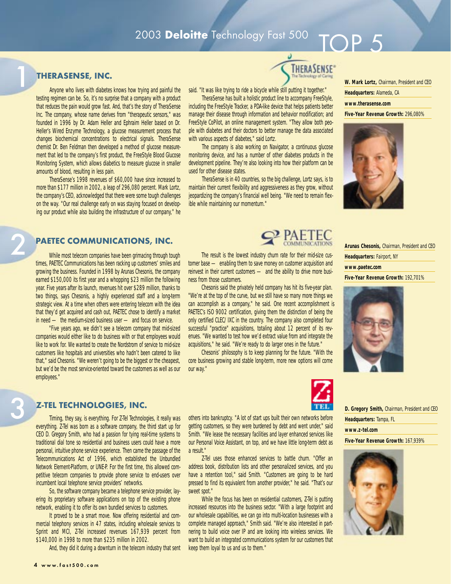### 2003 **Deloitte** Technology Fast 500

#### **THERASENSE, INC.**

1

Anyone who lives with diabetes knows how trying and painful the testing regimen can be. So, it's no surprise that a company with a product that reduces the pain would grow fast. And, that's the story of TheraSense Inc. The company, whose name derives from "therapeutic sensors," was founded in 1996 by Dr. Adam Heller and Ephraim Heller based on Dr. Heller's Wired Enzyme Technology, a glucose measurement process that changes biochemical concentrations to electrical signals. TheraSense chemist Dr. Ben Feldman then developed a method of glucose measurement that led to the company's first product, the FreeStyle Blood Glucose Monitoring System, which allows diabetics to measure glucose in smaller amounts of blood, resulting in less pain.

TheraSense's 1998 revenues of \$60,000 have since increased to more than \$177 million in 2002, a leap of 296,080 percent. Mark Lortz, the company's CEO, acknowledged that there were some tough challenges on the way. "Our real challenge early on was staying focused on developing our product while also building the infrastructure of our company," he said. "It was like trying to ride a bicycle while still putting it together."

TheraSense has built a holistic product line to accompany FreeStyle, including the FreeStyle Tracker, a PDA-like device that helps patients better manage their disease through information and behavior modification; and FreeStyle CoPilot, an online management system. "They allow both people with diabetes and their doctors to better manage the data associated with various aspects of diabetes," said Lortz.

The company is also working on Navigator, a continuous glucose monitoring device, and has a number of other diabetes products in the development pipeline. They're also looking into how their platform can be used for other disease states.

TheraSense is in 40 countries, so the big challenge, Lortz says, is to maintain their current flexibility and aggressiveness as they grow, without jeopardizing the company's financial well being. "We need to remain flexible while maintaining our momentum."

The result is the lowest industry churn rate for their mid-size customer base — enabling them to save money on customer acquisition and reinvest in their current customers — and the ability to drive more busi-

Chesonis said the privately held company has hit its five-year plan. "We're at the top of the curve, but we still have so many more things we can accomplish as a company," he said. One recent accomplishment is PAETEC's ISO 9002 certification, giving them the distinction of being the only certified CLEC/IXC in the country. The company also completed four successful "practice" acquisitions, totaling about 12 percent of its revenues. "We wanted to test how we'd extract value from and integrate the acquisitions," he said. "We're ready to do larger ones in the future." Chesonis' philosophy is to keep planning for the future. "With the core business growing and stable long-term, more new options will come

ness from those customers.

our way."



**W. Mark Lortz,** Chairman, President and CEO **Headquarters:** Alameda, CA **www.therasense.com Five-Year Revenue Growth:** 296,080%



 $\bigcap P$  5

**Arunas Chesonis,** Chairman, President and CEO

**Headquarters:** Fairport, NY

**www.paetec.com** 

**Five-Year Revenue Growth:** 192,701%





**D. Gregory Smith,** Chairman, President and CEO **Headquarters:** Tampa, FL

**www.z-tel.com** 

**Five-Year Revenue Growth:** 167,939%



### 2 **PAETEC COMMUNICATIONS, INC.**

While most telecom companies have been grimacing through tough times, PAETEC Communications has been racking up customers' smiles and growing the business. Founded in 1998 by Arunas Chesonis, the company earned \$150,000 its first year and a whopping \$23 million the following year. Five years after its launch, revenues hit over \$289 million, thanks to two things, says Chesonis, a highly experienced staff and a long-term strategic view. At a time when others were entering telecom with the idea that they'd get acquired and cash out, PAETEC chose to identify a market in need — the medium-sized business user — and focus on service.

"Five years ago, we didn't see a telecom company that mid-sized companies would either like to do business with or that employees would like to work for. We wanted to create the Nordstrom of service to mid-size customers like hospitals and universities who hadn't been catered to like that," said Chesonis. "We weren't going to be the biggest or the cheapest, but we'd be the most service-oriented toward the customers as well as our employees."

#### **Z-TEL TECHNOLOGIES, INC.**

Timing, they say, is everything. For Z-Tel Technologies, it really was everything. Z-Tel was born as a software company, the third start up for CEO D. Gregory Smith, who had a passion for tying real-time systems to traditional dial tone so residential and business users could have a more personal, intuitive phone service experience. Then came the passage of the Telecommunications Act of 1996, which established the Unbundled Network Element-Platform, or UNE-P. For the first time, this allowed competitive telecom companies to provide phone service to end-users over incumbent local telephone service providers' networks.

So, the software company became a telephone service provider, layering its proprietary software applications on top of the existing phone network, enabling it to offer its own bundled services to customers.

It proved to be a smart move. Now offering residential and commercial telephony services in 47 states, including wholesale services to Sprint and MCI, Z-Tel increased revenues 167,939 percent from \$140,000 in 1998 to more than \$235 million in 2002.

And, they did it during a downturn in the telecom industry that sent

others into bankruptcy. "A lot of start ups built their own networks before getting customers, so they were burdened by debt and went under," said Smith. "We lease the necessary facilities and layer enhanced services like our Personal Voice Assistant, on top, and we have little long-term debt as a result."

Z-Tel uses those enhanced services to battle churn. "Offer an address book, distribution lists and other personalized services, and you have a retention tool," said Smith. "Customers are going to be hard pressed to find its equivalent from another provider," he said. "That's our sweet spot."

While the focus has been on residential customers, Z-Tel is putting increased resources into the business sector. "With a large footprint and our wholesale capabilities, we can go into multi-location businesses with a complete managed approach," Smith said. "We're also interested in partnering to build voice over IP and are looking into wireless services. We want to build an integrated communications system for our customers that keep them loyal to us and us to them."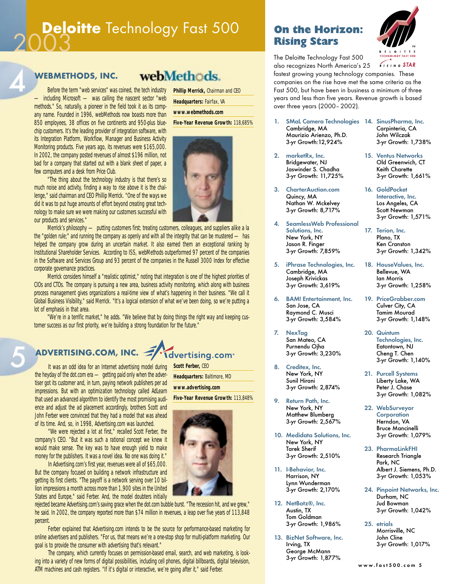# **Deloitte** Technology Fast 500 **On the Horizon:**<br> **Rising Stars**



5

### **WEBMETHODS, INC.**

Before the term "web services" was coined, the tech industry — including Microsoft — was calling the nascent sector "web methods." So, naturally, a pioneer in the field took it as its company name. Founded in 1996, webMethods now boasts more than 850 employees, 38 offices on five continents and 950-plus bluechip customers. It's the leading provider of integration software, with its Integration Platform, Workflow, Manager and Business Activity Monitoring products. Five years ago, its revenues were \$165,000. In 2002, the company posted revenues of almost \$196 million, not bad for a company that started out with a blank sheet of paper, a few computers and a desk from Price Club.

"The thing about the technology industry is that there's so much noise and activity, finding a way to rise above it is the challenge," said chairman and CEO Phillip Merrick. "One of the ways we did it was to put huge amounts of effort beyond creating great technology to make sure we were making our customers successful with our products and services."

Merrick's philosophy — putting customers first; treating customers, colleagues, and suppliers alike a la the "golden rule;" and running the company as openly and with all the integrity that can be mustered — has helped the company grow during an uncertain market. It also earned them an exceptional ranking by Institutional Shareholder Services. According to ISS, webMethods outperformed 97 percent of the companies in the Software and Services Group and 93 percent of the companies in the Russell 3000 Index for effective corporate governance practices.

Merrick considers himself a "realistic optimist," noting that integration is one of the highest priorities of CIOs and CTOs. The company is pursuing a new area, business activity monitoring, which along with business process management gives organizations a real-time view of what's happening in their business. "We call it Global Business Visibility," said Merrick. "It's a logical extension of what we've been doing, so we're putting a lot of emphasis in that area.

"We're in a terrific market," he adds. "We believe that by doing things the right way and keeping customer success as our first priority, we're building a strong foundation for the future."

#### **ADVERTISING.COM, INC. Idvertising.com**

It was an odd idea for an Internet advertising model during the heyday of the dot.com era — getting paid only when the advertiser got its customer and, in turn, paying network publishers per ad impressions. But with an optimization technology called AdLearn that used an advanced algorithm to identify the most promising audience and adjust the ad placement accordingly, brothers Scott and John Ferber were convinced that they had a model that was ahead of its time. And, so, in 1998, Advertising.com was launched.

"We were rejected a lot at first," recalled Scott Ferber, the company's CEO. "But it was such a rational concept we knew it would make sense. The key was to have enough yield to make money for the publishers. It was a novel idea. No one was doing it."

In Advertising.com's first year, revenues were all of \$65,000. But the company focused on building a network infrastructure and getting its first clients. "The payoff is a network serving over 10 billion impressions a month across more than 1,900 sites in the United States and Europe," said Ferber. And, the model doubters initially

rejected became Advertising.com's saving grace when the dot.com bubble burst. "The recession hit, and we grew," he said. In 2002, the company reported more than \$74 million in revenues, a leap over five years of 113,848 percent.

Ferber explained that Advertising.com intends to be the source for performance-based marketing for online advertisers and publishers. "For us, that means we're a one-stop shop for multi-platform marketing. Our goal is to provide the consumer with advertising that's relevant."

The company, which currently focuses on permission-based email, search, and web marketing, is looking into a variety of new forms of digital possibilities, including cell phones, digital billboards, digital television, ATM machines and cash registers. "If it's digital or interactive, we're going after it," said Ferber.

webMethods. **Phillip Merrick,** Chairman and CEO

**Headquarters:** Fairfax, VA **www.webmethods.com Five-Year Revenue Growth:** 118,685%



# Rising Stars



The Deloitte Technology Fast 500 also recognizes North America's 25

fastest growing young technology companies. These companies on the rise have met the same criteria as the Fast 500, but have been in business a minimum of three years and less than five years. Revenue growth is based over three years (2000–2002).

- 1. SMaL Camera Technologies 14. SinusPharma, Inc. Cambridge, MA Maurizio Arienzo, Ph.D. 3-yr Growth:12,924%
- 2. marketRx, Inc. Bridgewater, NJ Jaswinder S. Chadha 3-yr Growth: 11,725%
- 3. CharterAuction.com Quincy, MA Nathan W. Mckelvey 3-yr Growth: 8,717%
- SeamlessWeb Professional Solutions, Inc. New York, NY Jason R. Finger 3-yr Growth: 7,859%
- 5. iPhrase Technologies, Inc. Cambridge, MA Joseph Krivickas 3-yr Growth: 3,619%
- 6. BAM! Entertainment, Inc. San Jose, CA Raymond C. Musci 3-yr Growth: 3,584%
- 7. NexTag San Mateo, CA Purnendu Ojha 3-yr Growth: 3,230%
- 8. Creditex, Inc. New York, NY Sunil Hirani 3-yr Growth: 2,874%
- 9. Return Path, Inc. New York, NY Matthew Blumberg 3-yr Growth: 2,567%
- 10. Medidata Solutions, Inc. New York, NY Tarek Sherif 3-yr Growth: 2,510%
- 11. I-Behavior, Inc. Harrison, NY Lynn Wunderman 3-yr Growth: 2,170%
- 12. NetBotz®, Inc. Austin, TX Tom Goldman 3-yr Growth: 1,986%
- 13. BizNet Software, Inc. Irving, TX George McMann 3-yr Growth: 1,877%
- Carpinteria, CA John Wilczak 3-yr Growth: 1,738%
- 15. Ventus Networks Old Greenwich, CT Keith Charette 3-yr Growth: 1,661%
- 16. GoldPocket Interactive, Inc. Los Angeles, CA Scott Newman 3-yr Growth: 1,571%
- 17. Terion, Inc. Plano, TX Ken Cranston 3-yr Growth: 1,342%
- 18. HouseValues, Inc. Bellevue, WA Ian Morris 3-yr Growth: 1,258%
- 19. PriceGrabber.com Culver City, CA Tamim Mourad 3-yr Growth: 1,148%
- 20. Quintum Technologies, Inc. Eatontown, NJ Cheng T. Chen 3-yr Growth: 1,140%
- 21. Purcell Systems Liberty Lake, WA Peter J. Chase 3-yr Growth: 1,082%
- 22. WebSurveyor **Corporation** Herndon, VA Bruce Mancinelli 3-yr Growth: 1,079%
- 23. PharmaLinkFHI Research Triangle Park, NC Albert J. Siemens, Ph.D. 3-yr Growth: 1,053%
- 24. Pinpoint Networks, Inc. Durham, NC Jud Bowman 3-yr Growth: 1,042%
- 25. etrials Morrisville, NC John Cline 3-yr Growth: 1,017%



**Headquarters:** Baltimore, MD

**Scott Ferber,** CEO

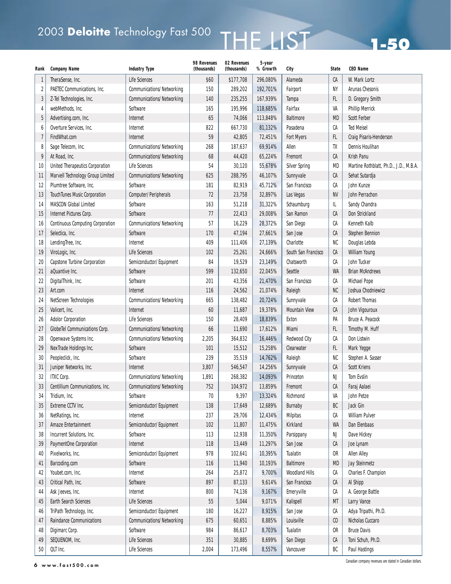# 2003 Deloitte Technology Fast 500 THE LIST

| Rank         | <b>Company Name</b>                     | <b>Industry Type</b>             | 98 Revenues<br>(thousands) | 02 Revenues<br>(thousands) | 5-year<br>% Growth | City                  | <b>State</b>                | <b>CEO Name</b>                        |
|--------------|-----------------------------------------|----------------------------------|----------------------------|----------------------------|--------------------|-----------------------|-----------------------------|----------------------------------------|
| $\mathbf{1}$ | TheraSense, Inc.                        | Life Sciences                    | \$60                       | \$177,708                  | 296,080%           | Alameda               | СA                          | W. Mark Lortz                          |
| 2            | PAETEC Communications, Inc.             | Communications/Networking        | 150                        | 289,202                    | 192,701%           | Fairport              | NΥ                          | <b>Arunas Chesonis</b>                 |
| 3            | Z-Tel Technologies, Inc.                | <b>Communications/Networking</b> | 140                        | 235,255                    | 167,939%           | Tampa                 | FL.                         | D. Gregory Smith                       |
| 4            | webMethods, Inc.                        | Software                         | 165                        | 195,996                    | 118,685%           | Fairfax               | VA                          | <b>Phillip Merrick</b>                 |
| 5            | Advertising.com, Inc.                   | Internet                         | 65                         | 74,066                     | 113,848%           | <b>Baltimore</b>      | <b>MD</b>                   | <b>Scott Ferber</b>                    |
| 6            | Overture Services, Inc.                 | Internet                         | 822                        | 667,730                    | 81,132%            | Pasadena              | CA                          | <b>Ted Meisel</b>                      |
| 7            | FindWhat.com                            | Internet                         | 59                         | 42,805                     | 72,451%            | <b>Fort Myers</b>     | FL.                         | Craig Pisaris-Henderson                |
| 8            | Sage Telecom, Inc.                      | <b>Communications/Networking</b> | 268                        | 187,637                    | 69,914%            | Allen                 | TX                          | <b>Dennis Houlihan</b>                 |
| 9            | At Road, Inc.                           | Communications/Networking        | 68                         | 44,420                     | 65,224%            | Fremont               | СA                          | Krish Panu                             |
| 10           | <b>United Therapeutics Corporation</b>  | <b>Life Sciences</b>             | 54                         | 30,120                     | 55,678%            | <b>Silver Spring</b>  | <b>MD</b>                   | Martine Rothblatt, Ph.D., J.D., M.B.A. |
| 11           | Marvell Technology Group Limited        | Communications/Networking        | 625                        | 288,795                    | 46,107%            | Sunnyvale             | CA                          | Sehat Sutardja                         |
| 12           | Plumtree Software, Inc.                 | Software                         | 181                        | 82,919                     | 45,712%            | San Francisco         | CA                          | John Kunze                             |
| 13           | TouchTunes Music Corporation            | Computer/Peripherals             | 72                         | 23,758                     | 32,897%            | Las Vegas             | <b>NV</b>                   | John Perrachon                         |
| 14           | <b>MASCON Global Limited</b>            | Software                         | 163                        | 51,218                     | 31,322%            | Schaumburg            | IL                          | Sandy Chandra                          |
| 15           | Internet Pictures Corp.                 | Software                         | 77                         | 22,413                     | 29,008%            | San Ramon             | СA                          | Don Strickland                         |
| 16           | <b>Continuous Computing Corporation</b> | Communications/Networking        | 57                         | 16,229                     | 28,372%            | San Diego             | СA                          | Kenneth Kalb                           |
| 17           | Selectica, Inc.                         | Software                         | 170                        | 47,194                     | 27,661%            | San Jose              | CA                          | <b>Stephen Bennion</b>                 |
| 18           | LendingTree, Inc.                       | Internet                         | 409                        | 111,406                    | 27,139%            | Charlotte             | NC                          | Douglas Lebda                          |
| 19           | ViroLogic, Inc.                         | <b>Life Sciences</b>             | 102                        | 25,261                     | 24,666%            | South San Francisco   | СA                          | William Young                          |
| 20           | Capstone Turbine Corporation            | Semiconductor/Equipment          | 84                         | 19,529                     | 23,149%            | Chatsworth            | СA                          | John Tucker                            |
| 21           | aQuantive Inc.                          | Software                         | 599                        | 132,650                    | 22,045%            | Seattle               | <b>WA</b>                   | <b>Brian McAndrews</b>                 |
| 22           | DigitalThink, Inc.                      | Software                         | 201                        | 43,356                     | 21,470%            | San Francisco         | СA                          | <b>Michael Pope</b>                    |
| 23           | Art.com                                 | Internet                         | 116                        | 24,562                     | 21,074%            | Raleigh               | <b>NC</b>                   | Joshua Chodniewicz                     |
| 24           | NetScreen Technologies                  | Communications/Networking        | 665                        | 138,482                    | 20,724%            | Sunnyvale             | СA                          | <b>Robert Thomas</b>                   |
| 25           | Valicert, Inc.                          | Internet                         | 60                         | 11,687                     | 19,378%            | <b>Mountain View</b>  | CA                          | John Vigouroux                         |
| 26           | <b>Adolor Corporation</b>               | Life Sciences                    | 150                        | 28,409                     | 18,839%            | Exton                 | PA                          | Bruce A. Peacock                       |
| 27           | GlobeTel Communications Corp.           | Communications/Networking        | 66                         | 11,690                     | 17,612%            | Miami                 | FL.                         | Timothy M. Huff                        |
| 28           | Openwave Systems Inc.                   | Communications/Networking        | 2,205                      | 364,832                    | 16,446%            | <b>Redwood City</b>   | СA                          | Don Listwin                            |
| 29           | NexTrade Holdings Inc.                  | Software                         | 101                        | 15,512                     | 15,258%            | Clearwater            | FL.                         | Mark Yegge                             |
| 30           | Peopleclick, Inc.                       | Software                         | 239                        | 35,519                     | 14,762%            | Raleigh               | NC                          | Stephen A. Sasser                      |
| 31           | Juniper Networks, Inc.                  | Internet                         | 3,807                      | 546,547                    | 14,256%            | Sunnyvale             | СA                          | <b>Scott Kriens</b>                    |
| 32           | <b>ITXC Corp.</b>                       | Communications/Networking        | 1,891                      | 268,382                    | 14,093%            | Princeton             | NJ                          | <b>Tom Evslin</b>                      |
| 33           | Centillium Communications, Inc.         | <b>Communications/Networking</b> | 752                        | 104,972                    | 13,859%            | Fremont               | СA                          | Faraj Aalaei                           |
| 34           | Tridium, Inc.                           | Software                         | 70                         | 9,397                      | 13,324%            | Richmond              | VA                          | John Petze                             |
| 35           | Extreme CCTV Inc.                       | Semiconductor/Equipment          | 138                        | 17,649                     | 12,689%            | Burnaby               | BC                          | Jack Gin                               |
| 36           | NetRatings, Inc.                        | Internet                         | 237                        | 29,706                     | 12,434%            | Milpitas              | СA                          | <b>William Pulver</b>                  |
| 37           | Amaze Entertainment                     | Semiconductor/Equipment          | 102                        | 11,807                     | 11,475%            | Kirkland              | <b>WA</b>                   | Dan Elenbaas                           |
| 38           | Incurrent Solutions, Inc.               | Software                         | 113                        | 12,938                     | 11,350%            | Parsippany            | NJ                          | Dave Hickey                            |
| 39           | PaymentOne Corporation                  | Internet                         | 118                        | 13,449                     | 11,297%            | San Jose              | СA                          | Joe Lynam                              |
| 40           | Pixelworks, Inc.                        | Semiconductor/Equipment          | 978                        | 102,641                    | 10,395%            | Tualatin              | 0R                          | <b>Allen Alley</b>                     |
| 41           | Barcoding.com                           | Software                         | 116                        | 11,940                     | 10,193%            | <b>Baltimore</b>      | <b>MD</b>                   | <b>Jay Steinmetz</b>                   |
| 42           | Youbet.com, Inc.                        | Internet                         | 264                        | 25,872                     | 9,700%             | <b>Woodland Hills</b> | СA                          | Charles F. Champion                    |
| 43           | Critical Path, Inc.                     | Software                         | 897                        | 87,133                     | 9,614%             | San Francisco         | СA                          | Al Shipp                               |
| 44           | Ask Jeeves, Inc.                        | Internet                         | 800                        | 74,136                     | 9,167%             | Emeryville            | СA                          | A. George Battle                       |
| 45           | Earth Search Sciences                   | Life Sciences                    | 55                         | 5,044                      | 9,071%             | Kalispell             | МT                          | Larry Vance                            |
| 46           | TriPath Technology, Inc.                | Semiconductor/Equipment          | 180                        | 16,227                     | 8,915%             | San Jose              | СA                          | Adya Tripathi, Ph.D.                   |
| 47           | Raindance Communications                | Communications/Networking        | 675                        | 60,651                     | 8,885%             | Louisville            | $\boldsymbol{\mathfrak{c}}$ | Nicholas Cuccaro                       |
| 48           | Digimarc Corp.                          | Software                         | 984                        | 86,617                     | 8,703%             | Tualatin              | 0R                          | <b>Bruce Davis</b>                     |
| 49           | SEQUENOM, Inc.                          | Life Sciences                    | 351                        | 30,885                     | 8,699%             | San Diego             | СA                          | Toni Schuh, Ph.D.                      |
| 50           | QLT Inc.                                | Life Sciences                    | 2,004                      | 173,496                    | 8,557%             | Vancouver             | ВC                          | <b>Paul Hastings</b>                   |

6 www.fast500.com Canadian company revenues are stated in Canadian dollars.

**1-50**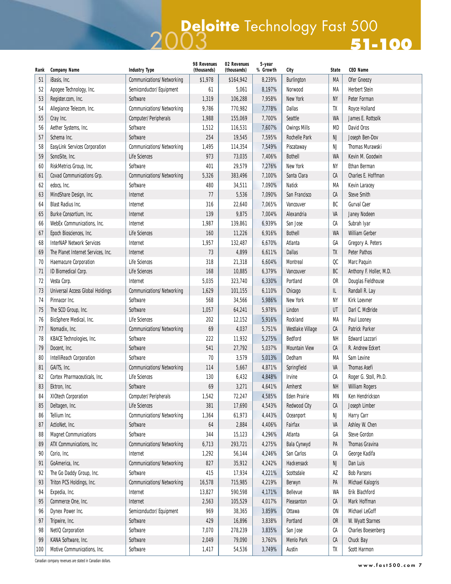### 2003 **Deloitte** Technology Fast 500 **51-100**

| Rank | <b>Company Name</b>                     | <b>Industry Type</b>             | 98 Revenues<br>(thousands) | 02 Revenues<br>(thousands) | 5-year<br>% Growth | City                 | <b>State</b> | <b>CEO Name</b>           |
|------|-----------------------------------------|----------------------------------|----------------------------|----------------------------|--------------------|----------------------|--------------|---------------------------|
| 51   | iBasis, Inc.                            | Communications/Networking        | \$1,978                    | \$164,942                  | 8,239%             | Burlington           | MA           | Ofer Gneezy               |
| 52   | Apogee Technology, Inc.                 | Semiconductor/Equipment          | 61                         | 5,061                      | 8,197%             | Norwood              | MA           | <b>Herbert Stein</b>      |
| 53   | Register.com, Inc.                      | Software                         | 1,319                      | 106,288                    | 7,958%             | New York             | NΥ           | Peter Forman              |
| 54   | Allegiance Telecom, Inc.                | Communications/Networking        | 9,786                      | 770,982                    | 7,778%             | <b>Dallas</b>        | TX           | Royce Holland             |
| 55   | Cray Inc.                               | Computer/Peripherals             | 1,988                      | 155,069                    | 7,700%             | Seattle              | WA           | James E. Rottsolk         |
| 56   | Aether Systems, Inc.                    | Software                         | 1,512                      | 116,531                    | 7,607%             | <b>Owings Mills</b>  | <b>MD</b>    | David Oros                |
| 57   | Schema Inc.                             | Software                         | 254                        | 19,545                     | 7,595%             | <b>Rochelle Park</b> | NJ           | Joseph Ben-Dov            |
| 58   | EasyLink Services Corporation           | <b>Communications/Networking</b> | 1,495                      | 114,354                    | 7,549%             | Piscataway           | NJ           | <b>Thomas Murawski</b>    |
| 59   | SonoSite, Inc.                          | Life Sciences                    | 973                        | 73,035                     | 7,406%             | <b>Bothell</b>       | WA           | Kevin M. Goodwin          |
| 60   | RiskMetrics Group, Inc.                 | Software                         | 401                        | 29,579                     | 7,276%             | New York             | NY           | Ethan Berman              |
| 61   | Covad Communications Grp.               | <b>Communications/Networking</b> | 5,326                      | 383,496                    | 7,100%             | Santa Clara          | СA           | Charles E. Hoffman        |
| 62   | edocs, Inc.                             | Software                         | 480                        | 34,511                     | 7,090%             | <b>Natick</b>        | MA           | Kevin Laracey             |
| 63   | MindShare Design, Inc.                  | Internet                         | 77                         | 5,536                      | 7,090%             | San Francisco        | СA           | <b>Steve Smith</b>        |
| 64   | <b>Blast Radius Inc.</b>                | Internet                         | 316                        | 22,640                     | 7,065%             | Vancouver            | BC           | <b>Gurval Caer</b>        |
| 65   | Burke Consortium, Inc.                  | Internet                         | 139                        | 9,875                      | 7,004%             | Alexandria           | VA           | Janey Nodeen              |
| 66   | <b>WebEx Communications, Inc.</b>       | Internet                         | 1,987                      | 139,861                    | 6,939%             | San Jose             | СA           | Subrah Iyar               |
| 67   | Epoch Biosciences, Inc.                 | <b>Life Sciences</b>             | 160                        | 11,226                     | 6,916%             | <b>Bothell</b>       | <b>WA</b>    | <b>William Gerber</b>     |
| 68   | <b>InterNAP Network Services</b>        | Internet                         | 1,957                      | 132,487                    | 6,670%             | Atlanta              | GA           | Gregory A. Peters         |
| 69   | The Planet Internet Services, Inc.      | Internet                         | 73                         | 4,899                      | 6,611%             | <b>Dallas</b>        | TX           | <b>Peter Pathos</b>       |
| 70   | Haemacure Corporation                   | Life Sciences                    | 318                        | 21,318                     | 6,604%             | Montreal             | QC           | Marc Paquin               |
| 71   | ID Biomedical Corp.                     | Life Sciences                    | 168                        | 10,885                     | 6,379%             | Vancouver            | BC           | Anthony F. Holler, M.D.   |
| 72   | Vesta Corp.                             | Internet                         | 5,035                      | 323,740                    | 6,330%             | Portland             | <b>OR</b>    | Douglas Fieldhouse        |
| 73   | <b>Universal Access Global Holdings</b> | <b>Communications/Networking</b> | 1,629                      | 101,155                    | 6,110%             | Chicago              | IL.          | Randall R. Lay            |
| 74   | Pinnacor Inc.                           | Software                         | 568                        | 34,566                     | 5,986%             | New York             | NY           | <b>Kirk Loevner</b>       |
| 75   | The SCO Group, Inc.                     | Software                         | 1,057                      | 64,241                     | 5,978%             | Lindon               | UT           | Darl C. McBride           |
| 76   | BioSphere Medical, Inc.                 | <b>Life Sciences</b>             | 202                        | 12,152                     | 5,916%             | Rockland             | MA           | Paul Looney               |
| 77   | Nomadix, Inc.                           | Communications/Networking        | 69                         | 4,037                      | 5,751%             | Westlake Village     | СA           | <b>Patrick Parker</b>     |
| 78   | KBACE Technologies, Inc.                | Software                         | 222                        | 11,932                     | 5,275%             | <b>Bedford</b>       | NΗ           | <b>Edward Lazzari</b>     |
| 79   | Docent, Inc.                            | Software                         | 541                        | 27,792                     | 5,037%             | <b>Mountain View</b> | CA           | R. Andrew Eckert          |
| 80   | <b>IntelliReach Corporation</b>         | Software                         | 70                         | 3,579                      | 5,013%             | Dedham               | MA           | Sam Levine                |
| 81   | GAITS, Inc.                             | <b>Communications/Networking</b> | 114                        | 5,667                      | 4,871%             | Springfield          | VA           | <b>Thomas Asefi</b>       |
| 82   | Cortex Pharmaceuticals, Inc.            | <b>Life Sciences</b>             | 130                        | 6,432                      | 4,848%             | Irvine               | СA           | Roger G. Stoll, Ph.D.     |
| 83   | Ektron, Inc.                            | Software                         | 69                         | 3,271                      | 4,641%             | Amherst              | NΗ           | <b>William Rogers</b>     |
| 84   | XIOtech Corporation                     | Computer/Peripherals             | 1,542                      | 72,247                     | 4,585%             | <b>Eden Prairie</b>  | ΜN           | Ken Hendrickson           |
| 85   | Deltagen, Inc.                          | Life Sciences                    | 381                        | 17,690                     | 4,543%             | <b>Redwood City</b>  | СA           | Joseph Limber             |
| 86   | Tellium Inc.                            | Communications/Networking        | 1,364                      | 61,973                     | 4,443%             | Oceanport            | NJ           | Harry Carr                |
| 87   | ActioNet, Inc.                          | Software                         | 64                         | 2,884                      | 4,406%             | Fairfax              | VA           | Ashley W. Chen            |
| 88   | <b>Magnet Communications</b>            | Software                         | 344                        | 15,123                     | 4,296%             | Atlanta              | GA           | <b>Steve Gordon</b>       |
| 89   | ATX Communications, Inc.                | Communications/Networking        | 6,713                      | 293,721                    | 4,275%             | Bala Cynwyd          | PA           | Thomas Gravina            |
| 90   | Corio, Inc.                             | Internet                         | 1,292                      | 56,144                     | 4,246%             | San Carlos           | СA           | George Kadifa             |
| 91   | GoAmerica, Inc.                         | Communications/Networking        | 827                        | 35,912                     | 4,242%             | Hackensack           | NJ           | Dan Luis                  |
| 92   | The Go Daddy Group, Inc.                | Software                         | 415                        | 17,934                     | 4,221%             | Scottsdale           | AZ           | <b>Bob Parsons</b>        |
| 93   | Triton PCS Holdings, Inc.               | <b>Communications/Networking</b> | 16,578                     | 715,985                    | 4,219%             | Berwyn               | PA           | <b>Michael Kalogris</b>   |
| 94   | Expedia, Inc.                           | Internet                         | 13,827                     | 590,598                    | 4,171%             | Bellevue             | WA           | Erik Blachford            |
| 95   | Commerce One, Inc.                      | Internet                         | 2,563                      | 105,529                    | 4,017%             | Pleasanton           | СA           | Mark Hoffman              |
| 96   | Dynex Power Inc.                        | Semiconductor/Equipment          | 969                        | 38,365                     | 3,859%             | Ottawa               | 0N           | Michael LeGoff            |
| 97   | Tripwire, Inc.                          | Software                         | 429                        | 16,896                     | 3,838%             | Portland             | OR.          | W. Wyatt Starnes          |
| 98   | NetIQ Corporation                       | Software                         | 7,070                      | 278,239                    | 3,835%             | San Jose             | СA           | <b>Charles Boesenberg</b> |
| 99   | KANA Software, Inc.                     | Software                         | 2,049                      | 79,090                     | 3,760%             | Menlo Park           | СA           | Chuck Bay                 |
| 100  | Motive Communications, Inc.             | Software                         | 1,417                      | 54,536                     | 3,749%             | Austin               | TX           | Scott Harmon              |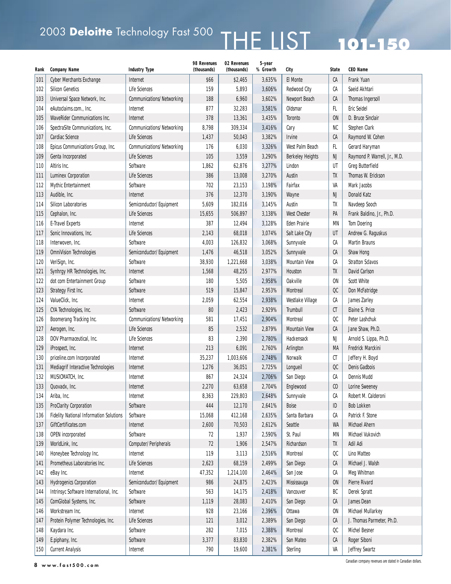# 2003 Deloitte Technology Fast 500  $\,$  THE LIST 201-150

| Rank | <b>Company Name</b>                            | <b>Industry Type</b>                            | 98 Revenues<br>(thousands) | 02 Revenues<br>(thousands) | 5-year<br>% Growth | City                              | <b>State</b>   | <b>CEO Name</b>                                          |
|------|------------------------------------------------|-------------------------------------------------|----------------------------|----------------------------|--------------------|-----------------------------------|----------------|----------------------------------------------------------|
| 101  | <b>Cyber Merchants Exchange</b>                | Internet                                        | \$66                       | \$2,465                    | 3,635%             | <b>El Monte</b>                   | CA             | Frank Yuan                                               |
| 102  | <b>Silicon Genetics</b>                        | <b>Life Sciences</b>                            | 159                        | 5,893                      | 3,606%             | <b>Redwood City</b>               | СA             | Saeid Akhtari                                            |
| 103  | Universal Space Network, Inc.                  | <b>Communications/Networking</b>                | 188                        | 6,960                      | 3,602%             | Newport Beach                     | CA             | <b>Thomas Ingersoll</b>                                  |
| 104  | eAutoclaims.com., Inc.                         | Internet                                        | 877                        | 32,283                     | 3,581%             | Oldsmar                           | FL.            | <b>Eric Seidel</b>                                       |
| 105  | <b>WaveRider Communications Inc.</b>           | Internet                                        | 378                        | 13,361                     | 3,435%             | Toronto                           | <b>ON</b>      | D. Bruce Sinclair                                        |
| 106  | SpectraSite Communications, Inc.               | Communications/Networking                       | 8,798                      | 309,334                    | 3,416%             | Cary                              | NC             | Stephen Clark                                            |
| 107  | Cardiac Science                                | <b>Life Sciences</b>                            | 1,437                      | 50,043                     | 3,382%             | <b>Irvine</b>                     | CA             |                                                          |
| 108  | Epicus Communications Group, Inc.              | Communications/Networking                       | 176                        | 6,030                      | 3,326%             | West Palm Beach                   | FL.            | Raymond W. Cohen<br>Gerard Haryman                       |
| 109  | Genta Incorporated                             | Life Sciences                                   | 105                        | 3,559                      | 3,290%             |                                   | <b>NJ</b>      |                                                          |
|      | Altiris Inc.                                   | Software                                        | 1,862                      | 62,876                     | 3,277%             | <b>Berkeley Heights</b><br>Lindon | UT             | Raymond P. Warrell, Jr., M.D.<br><b>Greg Butterfield</b> |
| 110  |                                                | <b>Life Sciences</b>                            | 386                        |                            |                    |                                   | TX             | Thomas W. Erickson                                       |
| 111  | <b>Luminex Corporation</b>                     |                                                 |                            | 13,008                     | 3,270%             | Austin                            | VA             |                                                          |
| 112  | <b>Mythic Entertainment</b>                    | Software                                        | 702                        | 23,153                     | 3,198%             | Fairfax                           |                | Mark Jacobs                                              |
| 113  | Audible, Inc.                                  | Internet                                        | 376                        | 12,370                     | 3,190%             | Wayne                             | NJ             | Donald Katz                                              |
| 114  | <b>Silicon Laboratories</b>                    | Semiconductor/Equipment<br><b>Life Sciences</b> | 5,609                      | 182,016                    | 3,145%             | Austin                            | TX             | Navdeep Sooch                                            |
| 115  | Cephalon, Inc.                                 |                                                 | 15,655                     | 506,897                    | 3,138%             | <b>West Chester</b>               | PA             | Frank Baldino, Jr., Ph.D.                                |
| 116  | <b>E-Travel Experts</b>                        | Internet                                        | 387                        | 12,494                     | 3,128%             | <b>Eden Prairie</b>               | MN             | <b>Tom Doering</b>                                       |
| 117  | Sonic Innovations, Inc.                        | <b>Life Sciences</b>                            | 2,143                      | 68,018                     | 3,074%             | Salt Lake City                    | UT             | Andrew G. Raguskus                                       |
| 118  | Interwoven, Inc.                               | Software                                        | 4,003                      | 126,832                    | 3,068%             | Sunnyvale                         | СA             | <b>Martin Brauns</b>                                     |
| 119  | <b>OmniVision Technologies</b>                 | Semiconductor/Equipment                         | 1,476                      | 46,518                     | 3,052%             | Sunnyvale                         | CA             | Shaw Hong                                                |
| 120  | VeriSign, Inc.                                 | Software                                        | 38,930                     | 1,221,668                  | 3,038%             | <b>Mountain View</b>              | СA             | <b>Stratton Sclavos</b>                                  |
| 121  | Synhrgy HR Technologies, Inc.                  | Internet                                        | 1,568                      | 48,255                     | 2,977%             | Houston                           | TX             | David Carlson                                            |
| 122  | dot com Entertainment Group                    | Software                                        | 180                        | 5,505                      | 2,958%             | <b>Oakville</b>                   | <b>ON</b>      | <b>Scott White</b>                                       |
| 123  | Strategy First Inc.                            | Software                                        | 519                        | 15,847                     | 2,953%             | Montreal                          | $_{\rm OC}$    | Don McFatridge                                           |
| 124  | ValueClick, Inc.                               | Internet                                        | 2,059                      | 62,554                     | 2,938%             | Westlake Village                  | СA             | James Zarley                                             |
| 125  | CYA Technologies, Inc.                         | Software                                        | 80                         | 2,423                      | 2,929%             | <b>Trumbull</b>                   | CT             | Elaine S. Price                                          |
| 126  | Boomerang Tracking Inc.                        | Communications/Networking                       | 581                        | 17,451                     | 2,904%             | Montreal                          | OC             | Peter Lashchuk                                           |
| 127  | Aerogen, Inc.                                  | <b>Life Sciences</b>                            | 85                         | 2,532                      | 2,879%             | <b>Mountain View</b>              | ${\sf CA}$     | Jane Shaw, Ph.D.                                         |
| 128  | DOV Pharmaceutical, Inc.                       | <b>Life Sciences</b>                            | 83                         | 2,390                      | 2,780%             | Hackensack                        | NJ             | Arnold S. Lippa, Ph.D.                                   |
| 129  | iProspect, Inc.                                | Internet                                        | 213                        | 6,091                      | 2,760%             | Arlington                         | МA             | Fredrick Marckini                                        |
| 130  | priceline.com Incorporated                     | Internet                                        | 35,237                     | 1,003,606                  | 2,748%             | Norwalk                           | CT             | Jeffery H. Boyd                                          |
| 131  | Mediagrif Interactive Technologies             | Internet                                        | 1,276                      | 36,051                     | 2,725%             | Longueil                          | $_{\rm OC}$    | <b>Denis Gadbois</b>                                     |
| 132  | MUSICMATCH, Inc.                               | Internet                                        | 867                        | 24,324                     | 2,706%             | San Diego                         | СA             | <b>Dennis Mudd</b>                                       |
| 133  | Quovadx, Inc.                                  | Internet                                        | 2,270                      | 63,658                     | 2,704%             | Englewood                         | C <sub>0</sub> | Lorine Sweeney                                           |
| 134  | Ariba, Inc.                                    | Internet                                        | 8,363                      | 229,803                    | 2,648%             | Sunnyvale                         | СA             | Robert M. Calderoni                                      |
| 135  | <b>ProClarity Corporation</b>                  | Software                                        | 444                        | 12,170                     | 2,641%             | Boise                             | $\sf ID$       | <b>Bob Lokken</b>                                        |
| 136  | <b>Fidelity National Information Solutions</b> | Software                                        | 15,068                     | 412,168                    | 2,635%             | Santa Barbara                     | СA             | Patrick F. Stone                                         |
| 137  | GiftCertificates.com                           | Internet                                        | 2,600                      | 70,503                     | 2,612%             | Seattle                           | WA             | Michael Ahern                                            |
| 138  | OPEN incorporated                              | Software                                        | 72                         | 1,937                      | 2,590%             | St. Paul                          | MN             | Michael Vukovich                                         |
| 139  | WorldLink, Inc.                                | Computer/Peripherals                            | 72                         | 1,906                      | 2,547%             | Richardson                        | TX             | Adil Adi                                                 |
| 140  | Honeybee Technology Inc.                       | Internet                                        | 119                        | 3,113                      | 2,516%             | Montreal                          | $_{\rm OC}$    | Lino Matteo                                              |
| 141  | Prometheus Laboratories Inc.                   | Life Sciences                                   | 2,623                      | 68,159                     | 2,499%             | San Diego                         | CA             | Michael J. Walsh                                         |
| 142  | eBay Inc.                                      | Internet                                        | 47,352                     | 1,214,100                  | 2,464%             | San Jose                          | СA             | Meg Whitman                                              |
| 143  | <b>Hydrogenics Corporation</b>                 | Semiconductor/Equipment                         | 986                        | 24,875                     | 2,423%             | Mississauga                       | ${\sf ON}$     | Pierre Rivard                                            |
| 144  | Intrinsyc Software International, Inc.         | Software                                        | 563                        | 14,175                     | 2,418%             | Vancouver                         | BC             | Derek Spratt                                             |
| 145  | ComGlobal Systems, Inc.                        | Software                                        | 1,119                      | 28,083                     | 2,410%             | San Diego                         | ${\sf CA}$     | James Dean                                               |
| 146  | Workstream Inc.                                | Internet                                        | 928                        | 23,166                     | 2,396%             | Ottawa                            | ON             | Michael Mullarkey                                        |
| 147  | Protein Polymer Technologies, Inc.             | <b>Life Sciences</b>                            | 121                        | 3,012                      | 2,389%             | San Diego                         | СA             | J. Thomas Parmeter, Ph.D.                                |
| 148  | Kaydara Inc.                                   | Software                                        | 282                        | 7,015                      | 2,388%             | Montreal                          | QC             | Michel Besner                                            |
| 149  | E.piphany, Inc.                                | Software                                        | 3,377                      | 83,830                     | 2,382%             | San Mateo                         | СA             | Roger Siboni                                             |
| 150  | <b>Current Analysis</b>                        | Internet                                        | 790                        | 19,600                     | 2,381%             | Sterling                          | VA             | Jeffrey Swartz                                           |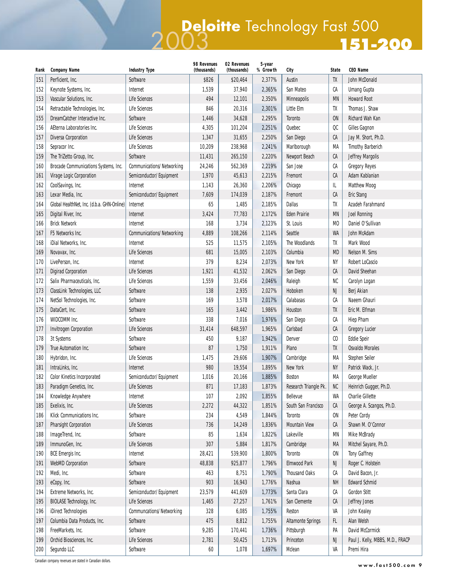## **151-200** 2003 **Deloitte** Technology Fast 500

| Rank | <b>Company Name</b>                        | <b>Industry Type</b>      | 98 Revenues<br>(thousands) | 02 Revenues<br>(thousands) | 5-year<br>% Growth | City                     | <b>State</b>   | <b>CEO Name</b>                  |
|------|--------------------------------------------|---------------------------|----------------------------|----------------------------|--------------------|--------------------------|----------------|----------------------------------|
| 151  | Perficient, Inc.                           | Software                  | \$826                      | \$20,464                   | 2,377%             | Austin                   | TX             | John McDonald                    |
| 152  | Keynote Systems, Inc.                      | Internet                  | 1,539                      | 37,940                     | 2,365%             | San Mateo                | CA             | <b>Umang Gupta</b>               |
| 153  | Vascular Solutions, Inc.                   | <b>Life Sciences</b>      | 494                        | 12,101                     | 2,350%             | <b>Minneapolis</b>       | <b>MN</b>      | <b>Howard Root</b>               |
| 154  | Retractable Technologies, Inc.             | <b>Life Sciences</b>      | 846                        | 20,316                     | 2,301%             | Little Elm               | TX             | Thomas J. Shaw                   |
| 155  | DreamCatcher Interactive Inc.              | Software                  | 1,446                      | 34,628                     | 2,295%             | <b>Toronto</b>           | <b>ON</b>      | Richard Wah Kan                  |
| 156  | AEterna Laboratories Inc.                  | <b>Life Sciences</b>      | 4,305                      | 101,204                    | 2,251%             | Quebec                   | QC             | <b>Gilles Gagnon</b>             |
| 157  | <b>Diversa Corporation</b>                 | <b>Life Sciences</b>      | 1,347                      | 31,655                     | 2,250%             | San Diego                | CA             | Jay M. Short, Ph.D.              |
| 158  | Sepracor Inc.                              | <b>Life Sciences</b>      | 10,209                     | 238,968                    | 2,241%             | Marlborough              | MA             | <b>Timothy Barberich</b>         |
| 159  | The TriZetto Group, Inc.                   | Software                  | 11,431                     | 265,150                    | 2,220%             | Newport Beach            | CA             | <b>Jeffrey Margolis</b>          |
| 160  | Brocade Communications Systems, Inc.       | Communications/Networking | 24,246                     | 562,369                    | 2,219%             | San Jose                 | CA             | <b>Gregory Reyes</b>             |
| 161  | Virage Logic Corporation                   | Semiconductor/Equipment   | 1,970                      | 45,613                     | 2,215%             | Fremont                  | CA             | Adam Kablanian                   |
| 162  | CoolSavings, Inc.                          | Internet                  | 1,143                      | 26,360                     | 2,206%             | Chicago                  | IL             | <b>Matthew Moog</b>              |
| 163  | Lexar Media, Inc.                          | Semiconductor/Equipment   | 7,609                      | 174,039                    | 2,187%             | Fremont                  | CA             | <b>Eric Stang</b>                |
| 164  | Global HealthNet, Inc. (d.b.a. GHN-Online) | Internet                  | 65                         | 1,485                      | 2,185%             | <b>Dallas</b>            | TX             | Azadeh Farahmand                 |
| 165  | Digital River, Inc.                        | Internet                  | 3,424                      | 77,783                     | 2,172%             | <b>Eden Prairie</b>      | <b>MN</b>      | <b>Joel Ronning</b>              |
| 166  | <b>Brick Network</b>                       | Internet                  | 168                        | 3,734                      | 2,123%             | St. Louis                | M <sub>0</sub> | Daniel O'Sullivan                |
| 167  | F5 Networks Inc.                           | Communications/Networking | 4,889                      | 108,266                    | 2,114%             | Seattle                  | WA             | John McAdam                      |
| 168  | iDial Networks, Inc.                       | Internet                  | 525                        | 11,575                     | 2,105%             | The Woodlands            | TX             | Mark Wood                        |
| 169  | Novavax, Inc.                              | <b>Life Sciences</b>      | 681                        | 15,005                     | 2,103%             | Columbia                 | <b>MD</b>      | Nelson M. Sims                   |
| 170  | LivePerson, Inc.                           | Internet                  | 379                        | 8,234                      | 2,073%             | New York                 | NY             | Robert LoCascio                  |
| 171  | <b>Digirad Corporation</b>                 | <b>Life Sciences</b>      | 1,921                      | 41,532                     | 2,062%             | San Diego                | CA             | David Sheehan                    |
| 172  | Salix Pharmaceuticals, Inc.                | Life Sciences             | 1,559                      | 33,456                     | 2,046%             | Raleigh                  | NC             | Carolyn Logan                    |
| 173  | ClassLink Technologies, LLC                | Software                  | 138                        | 2,935                      | 2,027%             | Hoboken                  | NJ             | Berj Akian                       |
| 174  | NetSol Technologies, Inc.                  | Software                  | 169                        | 3,578                      | 2,017%             | Calabasas                | СA             | Naeem Ghauri                     |
| 175  | DataCert, Inc.                             | Software                  | 165                        | 3,442                      | 1,986%             | Houston                  | TX             | Eric M. Elfman                   |
| 176  | WIDCOMM Inc.                               | Software                  | 338                        | 7,016                      | 1,976%             | San Diego                | СA             | <b>Hiep Pham</b>                 |
| 177  | <b>Invitrogen Corporation</b>              | <b>Life Sciences</b>      | 31,414                     | 648,597                    | 1,965%             | Carlsbad                 | CA             | <b>Gregory Lucier</b>            |
| 178  | 3t Systems                                 | Software                  | 450                        | 9,187                      | 1,942%             | Denver                   | $\mathfrak{c}$ | <b>Eddie Speir</b>               |
| 179  | True Automation Inc.                       | Software                  | 87                         | 1,750                      | 1,911%             | Plano                    | TX             | <b>Osvaldo Morales</b>           |
| 180  | Hybridon, Inc.                             | <b>Life Sciences</b>      | 1,475                      | 29,606                     | 1,907%             | Cambridge                | MA             | Stephen Seiler                   |
| 181  | IntraLinks, Inc.                           | Internet                  | 980                        | 19,554                     | 1,895%             | New York                 | <b>NY</b>      | Patrick Wack, Jr.                |
| 182  | <b>Color Kinetics Incorporated</b>         | Semiconductor/Equipment   | 1,016                      | 20,166                     | 1,885%             | <b>Boston</b>            | MA             | George Mueller                   |
| 183  | Paradigm Genetics, Inc.                    | Life Sciences             | 871                        | 17,183                     | 1,873%             | Research Triangle Pk.    | ${\sf NC}$     | Heinrich Gugger, Ph.D.           |
| 184  | Knowledge Anywhere                         | Internet                  | 107                        | 2,092                      | 1,855%             | Bellevue                 | WA             | <b>Charlie Gillette</b>          |
| 185  | Exelixis, Inc.                             | Life Sciences             | 2,272                      | 44,322                     | 1,851%             | South San Francisco      | CA             | George A. Scangos, Ph.D.         |
| 186  | Klick Communications Inc.                  | Software                  | 234                        | 4,549                      | 1,844%             | Toronto                  | <b>ON</b>      | Peter Cordy                      |
| 187  | <b>Pharsight Corporation</b>               | Life Sciences             | 736                        | 14,249                     | 1,836%             | <b>Mountain View</b>     | CA             | Shawn M. O'Connor                |
| 188  | ImageTrend, Inc.                           | Software                  | 85                         | 1,634                      | 1,822%             | Lakeville                | <b>MN</b>      | Mike McBrady                     |
| 189  | ImmunoGen, Inc.                            | <b>Life Sciences</b>      | 307                        | 5,884                      | 1,817%             | Cambridge                | MA             | Mitchel Sayare, Ph.D.            |
| 190  | <b>BCE Emergis Inc.</b>                    | Internet                  | 28,421                     | 539,900                    | 1,800%             | Toronto                  | <b>ON</b>      | <b>Tony Gaffney</b>              |
| 191  | <b>WebMD Corporation</b>                   | Software                  | 48,838                     | 925,877                    | 1,796%             | <b>Elmwood Park</b>      | NJ             | Roger C. Holstein                |
| 192  | Medi, Inc.                                 | Software                  | 463                        | 8,751                      | 1,790%             | <b>Thousand Oaks</b>     | СA             | David Bacon, Jr.                 |
| 193  | eCopy, Inc.                                | Software                  | 903                        | 16,943                     | 1,776%             | Nashua                   | NΗ             | <b>Edward Schmid</b>             |
| 194  | Extreme Networks, Inc.                     | Semiconductor/Equipment   | 23,579                     | 441,609                    | 1,773%             | Santa Clara              | СA             | <b>Gordon Stitt</b>              |
| 195  | BIOLASE Technology, Inc.                   | Life Sciences             | 1,465                      | 27,257                     | 1,761%             | San Clemente             | CA             | Jeffrey Jones                    |
| 196  | iDirect Technologies                       | Communcations/Networking  | 328                        | 6,085                      | 1,755%             | Reston                   | VA             | John Kealey                      |
| 197  | Columbia Data Products, Inc.               | Software                  | 475                        | 8,812                      | 1,755%             | <b>Altamonte Springs</b> | FL.            | Alan Welsh                       |
| 198  | FreeMarkets, Inc.                          | Software                  | 9,285                      | 170,441                    | 1,736%             | Pittsburgh               | PA             | David McCormick                  |
| 199  | Orchid Biosciences, Inc.                   | Life Sciences             | 2,781                      | 50,425                     | 1,713%             | Princeton                | NJ             | Paul J. Kelly, MBBS, M.D., FRACP |
| 200  | Segundo LLC                                | Software                  | $60\,$                     | 1,078                      | 1,697%             | Mclean                   | VA             | Premi Hira                       |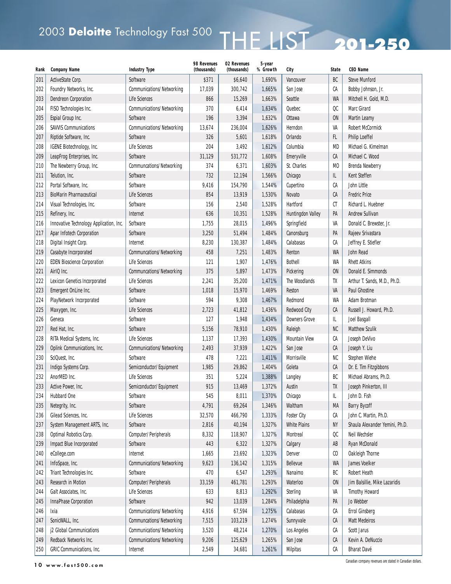# 2003 Deloitte Technology Fast 500 THE LIST 201-250

| Rank | <b>Company Name</b>                     | <b>Industry Type</b>      | 98 Revenues<br>(thousands) | 02 Revenues<br>(thousands) | 5-year<br>% Growth | City                 | <b>State</b>                | <b>CEO Name</b>                |
|------|-----------------------------------------|---------------------------|----------------------------|----------------------------|--------------------|----------------------|-----------------------------|--------------------------------|
| 201  | ActiveState Corp.                       | Software                  | \$371                      | \$6,640                    | 1,690%             | Vancouver            | BC                          | <b>Steve Munford</b>           |
| 202  | Foundry Networks, Inc.                  | Communications/Networking | 17,039                     | 300,742                    | 1,665%             | San Jose             | СA                          | Bobby Johnson, Jr.             |
| 203  | <b>Dendreon Corporation</b>             | Life Sciences             | 866                        | 15,269                     | 1,663%             | Seattle              | <b>WA</b>                   | Mitchell H. Gold, M.D.         |
| 204  | FISO Technologies Inc.                  | Communications/Networking | 370                        | 6,414                      | 1,634%             | Quebec               | $_{\rm OC}$                 | <b>Marc Girard</b>             |
| 205  | Espial Group Inc.                       | Software                  | 196                        | 3,394                      | 1,632%             | Ottawa               | ON                          | <b>Martin Leamy</b>            |
| 206  | <b>SAVVIS Communications</b>            | Communications/Networking | 13,674                     | 236,004                    | 1,626%             | Herndon              | VA                          | <b>Robert McCormick</b>        |
| 207  | Riptide Software, Inc.                  | Software                  | 326                        | 5,601                      | 1,618%             | Orlando              | FL.                         | <b>Philip Loeffel</b>          |
| 208  | IGENE Biotechnology, Inc.               | <b>Life Sciences</b>      | 204                        | 3,492                      | 1,612%             | Columbia             | <b>MD</b>                   | Michael G. Kimelman            |
| 209  | LeapFrog Enterprises, Inc.              | Software                  | 31,129                     | 531,772                    | 1,608%             | Emeryville           | СA                          | Michael C. Wood                |
| 210  | The Newberry Group, Inc.                | Communcations/Networking  | 374                        | 6,371                      | 1,603%             | St. Charles          | M <sub>0</sub>              | <b>Brenda Newberry</b>         |
| 211  | Telution, Inc.                          | Software                  | 732                        | 12,194                     | 1,566%             | Chicago              | IL                          | Kent Steffen                   |
| 212  | Portal Software, Inc.                   | Software                  | 9,416                      | 154,790                    | 1,544%             | Cupertino            | СA                          | John Little                    |
| 213  | <b>BioMarin Pharmaceutical</b>          | Life Sciences             | 854                        | 13,919                     | 1,530%             | Novato               | CA                          | <b>Fredric Price</b>           |
| 214  | Visual Technologies, Inc.               | Software                  | 156                        | 2,540                      | 1,528%             | Hartford             | СT                          | Richard L. Huebner             |
| 215  | Refinery, Inc.                          | Internet                  | 636                        | 10,351                     | 1,528%             | Huntingdon Valley    | PA                          | <b>Andrew Sullivan</b>         |
| 216  | Innovative Technology Application, Inc. | Software                  | 1,755                      | 28,015                     | 1,496%             | Springfield          | VA                          | Donald C. Brewster, Jr.        |
| 217  | Apar Infotech Corporation               | Software                  | 3,250                      | 51,494                     | 1,484%             | Canonsburg           | PA                          | Rajeev Srivastara              |
| 218  | Digital Insight Corp.                   | Internet                  | 8,230                      | 130,387                    | 1,484%             | Calabasas            | CA                          | Jeffrey E. Stiefler            |
| 219  | Casabyte Incorporated                   | Communcations/Networking  | 458                        | 7,251                      | 1,483%             | Renton               | <b>WA</b>                   | John Read                      |
| 220  | <b>EDEN Bioscience Corporation</b>      | <b>Life Sciences</b>      | 121                        | 1,907                      | 1,476%             | <b>Bothell</b>       | WA                          | <b>Rhett Atkins</b>            |
| 221  | AirIQ Inc.                              | Communcations/Networking  | 375                        | 5,897                      | 1,473%             | Pickering            | <b>ON</b>                   | Donald E. Simmonds             |
| 222  | <b>Lexicon Genetics Incorporated</b>    | <b>Life Sciences</b>      | 2,241                      | 35,200                     | 1,471%             | The Woodlands        | TX                          | Arthur T. Sands, M.D., Ph.D.   |
| 223  | Emergent OnLine Inc.                    | Software                  | 1,018                      | 15,970                     | 1,469%             | Reston               | VA                          | <b>Paul Ghostine</b>           |
| 224  | PlayNetwork Incorporated                | Software                  | 594                        | 9,308                      | 1,467%             | Redmond              | WA                          | Adam Brotman                   |
| 225  | Maxygen, Inc.                           | Life Sciences             | 2,723                      | 41,812                     | 1,436%             | <b>Redwood City</b>  | CA                          | Russell J. Howard, Ph.D.       |
| 226  | Geneca                                  | Software                  | 127                        | 1,948                      | 1,434%             | <b>Downers Grove</b> | L                           | Joel Basgall                   |
| 227  | Red Hat, Inc.                           | Software                  | 5,156                      | 78,910                     | 1,430%             | Raleigh              | NC                          | <b>Matthew Szulik</b>          |
| 228  | RITA Medical Systems, Inc.              | <b>Life Sciences</b>      | 1,137                      | 17,393                     | 1,430%             | <b>Mountain View</b> | СA                          | Joseph DeVivo                  |
| 229  | Oplink Communications, Inc.             | Communications/Networking | 2,493                      | 37,939                     | 1,422%             | San Jose             | СA                          | Joseph Y. Liu                  |
| 230  | SciQuest, Inc.                          | Software                  | 478                        | 7,221                      | 1,411%             | Morrisville          | NC                          | Stephen Wiehe                  |
| 231  | Indigo Systems Corp.                    | Semiconductor/Equipment   | 1,985                      | 29,862                     | 1,404%             | Goleta               | СA                          | Dr. E. Tim Fitzgibbons         |
| 232  | AnorMED Inc.                            | <b>Life Sciences</b>      | 351                        | 5,224                      | 1,388%             | Langley              | BC                          | Michael Abrams, Ph.D.          |
| 233  | Active Power, Inc.                      | Semiconductor/Equipment   | 915                        | 13,469                     | 1,372%             | Austin               | TX                          | Joseph Pinkerton, III          |
| 234  | <b>Hubbard One</b>                      | Software                  | 545                        | 8,011                      | 1,370%             | Chicago              | IL                          | John D. Fish                   |
| 235  | Netegrity, Inc.                         | Software                  | 4,791                      | 69,264                     | 1,346%             | Waltham              | MA                          | <b>Barry Bycoff</b>            |
| 236  | Gilead Sciences, Inc.                   | <b>Life Sciences</b>      | 32,570                     | 466,790                    | 1,333%             | <b>Foster City</b>   | СA                          | John C. Martin, Ph.D.          |
| 237  | System Management ARTS, Inc.            | Software                  | 2,816                      | 40,194                     | 1,327%             | <b>White Plains</b>  | NY                          | Shaula Alexander Yemini, Ph.D. |
| 238  | Optimal Robotics Corp.                  | Computer/Peripherals      | 8,332                      | 118,907                    | 1,327%             | Montreal             | $_{\rm QC}$                 | Neil Wechsler                  |
| 239  | Impact Blue Incorporated                | Software                  | 443                        | 6,322                      | 1,327%             | Calgary              | AB                          | Ryan McDonald                  |
| 240  | eCollege.com                            | Internet                  | 1,665                      | 23,692                     | 1,323%             | Denver               | $\boldsymbol{\mathfrak{c}}$ | Oakleigh Thorne                |
| 241  | InfoSpace, Inc.                         | Communications/Networking | 9,623                      | 136,142                    | 1,315%             | Bellevue             | WA                          | James Voelker                  |
| 242  | Triant Technologies Inc.                | Software                  | 470                        | 6,547                      | 1,293%             | Nanaimo              | BC                          | Robert Heath                   |
| 243  | <b>Research in Motion</b>               | Computer/Peripherals      | 33,159                     | 461,781                    | 1,293%             | Waterloo             | <b>ON</b>                   | Jim Balsillie, Mike Lazaridis  |
| 244  | Galt Associates, Inc.                   | Life Sciences             | 633                        | 8,813                      | 1,292%             | Sterling             | VA                          | <b>Timothy Howard</b>          |
| 245  | <b>InnaPhase Corporation</b>            | Software                  | 942                        | 13,039                     | 1,284%             | Philadelphia         | PA                          | Jo Webber                      |
| 246  | Ixia                                    | Communications/Networking | 4,916                      | 67,594                     | 1,275%             | Calabasas            | СA                          | <b>Errol Ginsberg</b>          |
| 247  | SonicWALL, Inc.                         | Communcations/Networking  | 7,515                      | 103,219                    | 1,274%             | Sunnyvale            | СA                          | <b>Matt Medeiros</b>           |
| 248  | j2 Global Communications                | Communications/Networking | 3,520                      | 48,214                     | 1,270%             | Los Angeles          | СA                          | Scott Jarus                    |
| 249  | Redback Networks Inc.                   | Communications/Networking | 9,206                      | 125,629                    | 1,265%             | San Jose             | CA                          | Kevin A. DeNuccio              |
| 250  | GRIC Communications, Inc.               | Internet                  | 2,549                      | 34,681                     | 1,261%             | <b>Milpitas</b>      | СA                          | <b>Bharat Davé</b>             |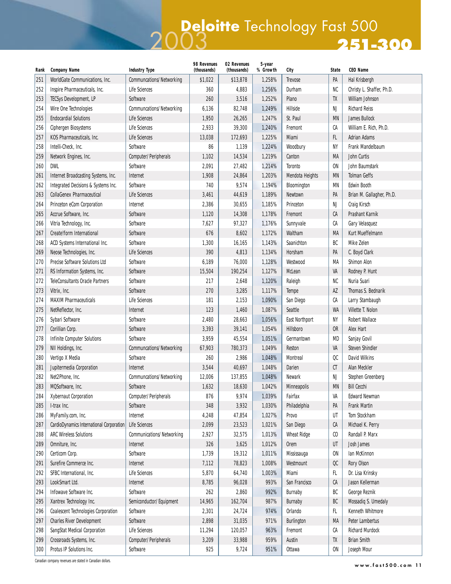## **251-300** 2003 **Deloitte** Technology Fast 500

| Rank | <b>Company Name</b>                        | <b>Industry Type</b>      | 98 Revenues<br>(thousands) | 02 Revenues<br>(thousands) | 5-year<br>% Growth | City                  | <b>State</b>     | <b>CEO Name</b>           |
|------|--------------------------------------------|---------------------------|----------------------------|----------------------------|--------------------|-----------------------|------------------|---------------------------|
| 251  | WorldGate Communications, Inc.             | Communcations/Networking  | \$1,022                    | \$13,878                   | 1,258%             | <b>Trevose</b>        | PA               | Hal Krisbergh             |
| 252  | Inspire Pharmaceuticals, Inc.              | Life Sciences             | 360                        | 4,883                      | 1,256%             | Durham                | <b>NC</b>        | Christy L. Shaffer, Ph.D. |
| 253  | <b>TECSys Development, LP</b>              | Software                  | 260                        | 3,516                      | 1,252%             | Plano                 | TX               | William Johnson           |
| 254  | Wire One Technologies                      | Communcations/Networking  | 6,136                      | 82,748                     | 1,249%             | Hillside              | NJ               | <b>Richard Reiss</b>      |
| 255  | <b>Endocardial Solutions</b>               | <b>Life Sciences</b>      | 1,950                      | 26,265                     | 1,247%             | St. Paul              | <b>MN</b>        | <b>James Bullock</b>      |
| 256  | Ciphergen Biosystems                       | <b>Life Sciences</b>      | 2,933                      | 39,300                     | 1,240%             | Fremont               | CA               | William E. Rich, Ph.D.    |
| 257  | KOS Pharmaceuticals, Inc.                  | Life Sciences             | 13,038                     | 172,693                    | 1,225%             | Miami                 | FL.              | <b>Adrian Adams</b>       |
| 258  | Intelli-Check, Inc.                        | Software                  | 86                         | 1,139                      | 1,224%             | Woodbury              | NY               | Frank Mandelbaum          |
| 259  | Network Engines, Inc.                      | Computer/Peripherals      | 1,102                      | 14,534                     | 1,219%             | Canton                | МA               | John Curtis               |
| 260  | <b>DWL</b>                                 | Software                  | 2,091                      | 27,482                     | 1,214%             | <b>Toronto</b>        | <b>ON</b>        | John Baumstark            |
| 261  | Internet Broadcasting Systems, Inc.        | Internet                  | 1,908                      | 24,864                     | 1,203%             | Mendota Heights       | <b>MN</b>        | <b>Tolman Geffs</b>       |
| 262  | Integrated Decisions & Systems Inc.        | Software                  | 740                        | 9,574                      | 1,194%             | Bloomington           | <b>MN</b>        | <b>Edwin Booth</b>        |
| 263  | <b>CollaGenex Pharmaceutical</b>           | Life Sciences             | 3,461                      | 44,619                     | 1,189%             | Newtown               | PA               | Brian M. Gallagher, Ph.D. |
| 264  | Princeton eCom Corporation                 | Internet                  | 2,386                      | 30,655                     | 1,185%             | Princeton             | NJ               | Craig Kirsch              |
| 265  | Accrue Software, Inc.                      | Software                  | 1,120                      | 14,308                     | 1,178%             | Fremont               | СA               | Prashant Karnik           |
| 266  | Vitria Technology, Inc.                    | Software                  | 7,627                      | 97,327                     | 1,176%             | Sunnyvale             | СA               | Gary Velasquez            |
| 267  | Create!form International                  | Software                  | 676                        | 8,602                      | 1,172%             | Waltham               | MA               | Kurt Mueffelmann          |
| 268  | ACD Systems International Inc.             | Software                  | 1,300                      | 16,165                     | 1,143%             | Saanichton            | BC               | Mike Zelen                |
| 269  | Neose Technologies, Inc.                   | Life Sciences             | 390                        | 4,813                      | 1,134%             | Horsham               | PA               | C. Boyd Clark             |
| 270  | <b>Precise Software Solutions Ltd</b>      | Software                  | 6,189                      | 76,000                     | 1,128%             | Westwood              | МA               | <b>Shimon Alon</b>        |
| 271  | RS Information Systems, Inc.               | Software                  | 15,504                     | 190,254                    | 1,127%             | McLean                | VA               | Rodney P. Hunt            |
| 272  | <b>TeleConsultants Oracle Partners</b>     | Software                  | 217                        | 2,648                      | 1,120%             | Raleigh               | NC               | Nuria Suari               |
| 273  | Vitrix, Inc.                               | Software                  | 270                        | 3,285                      | 1,117%             | Tempe                 | AZ               | Thomas S. Bednarik        |
| 274  | <b>MAXIM Pharmaceuticals</b>               | Life Sciences             | 181                        | 2,153                      | 1,090%             | San Diego             | СA               | Larry Stambaugh           |
| 275  | NetReflector, Inc.                         | Internet                  | 123                        | 1,460                      | 1,087%             | Seattle               | <b>WA</b>        | Villette T. Nolon         |
| 276  | Sybari Software                            | Software                  | 2,480                      | 28,663                     | 1,056%             | <b>East Northport</b> | NY               | <b>Robert Wallace</b>     |
| 277  | Corillian Corp.                            | Software                  | 3,393                      | 39,141                     | 1,054%             | Hillsboro             | <b>OR</b>        | Alex Hart                 |
| 278  | <b>Infinite Computer Solutions</b>         | Software                  | 3,959                      | 45,554                     | 1,051%             | Germantown            | MD               | Sanjay Govil              |
| 279  | NII Holdings, Inc.                         | Communcations/Networking  | 67,903                     | 780,373                    | 1,049%             | Reston                | VA               | <b>Steven Shindler</b>    |
| 280  | Vertigo X Media                            | Software                  | 260                        | 2,986                      | 1,048%             | Montreal              | QC               | <b>David Wilkins</b>      |
| 281  | Jupitermedia Corporation                   | Internet                  | 3,544                      | 40,697                     | 1,048%             | Darien                | CT               | Alan Meckler              |
| 282  | Net2Phone, Inc.                            | Communcations/Networking  | 12,006                     | 137,855                    | 1,048%             | Newark                | NJ               | Stephen Greenberg         |
| 283  | MQSoftware, Inc.                           | Software                  | 1,632                      | 18,630                     | 1,042%             | <b>Minneapolis</b>    | MN               | <b>Bill Cecchi</b>        |
| 284  | Xybernaut Corporation                      | Computer/Peripherals      | 876                        | 9,974                      | 1,039%             | Fairfax               | VA               | <b>Edward Newman</b>      |
| 285  | I-trax Inc.                                | Software                  | 348                        | 3,932                      | 1,030%             | Philadelphia          | PA               | <b>Frank Martin</b>       |
| 286  | MyFamily.com, Inc.                         | Internet                  | 4,248                      | 47,854                     | 1,027%             | Provo                 | UT               | Tom Stockham              |
| 287  | CardioDynamics International Corporation   | Life Sciences             | 2,099                      | 23,523                     | 1,021%             | San Diego             | СA               | Michael K. Perry          |
| 288  | <b>ARC Wireless Solutions</b>              | Communications/Networking | 2,927                      | 32,575                     | 1,013%             | <b>Wheat Ridge</b>    | $\mathfrak{c}_0$ | Randall P. Marx           |
| 289  | Omniture, Inc.                             | Internet                  | 326                        | 3,625                      | 1,012%             | Orem                  | UT               | Josh James                |
| 290  | Certicom Corp.                             | Software                  | 1,739                      | 19,312                     | 1,011%             | Mississauga           | ON               | Ian McKinnon              |
| 291  | Surefire Commerce Inc.                     | Internet                  | 7,112                      | 78,823                     | 1,008%             | Westmount             | $_{\rm OC}$      | Rory Olson                |
| 292  | SFBC International, Inc.                   | Life Sciences             | 5,870                      | 64,740                     | 1,003%             | Miami                 | FL.              | Dr. Lisa Krinsky          |
| 293  | LookSmart Ltd.                             | Internet                  | 8,785                      | 96,028                     | 993%               | San Francisco         | CA               | Jason Kellerman           |
| 294  | Infowave Software Inc.                     | Software                  | 262                        | 2,860                      | 992%               | Burnaby               | BC               | George Reznik             |
| 295  | Xantrex Technology Inc.                    | Semiconductor/Equipment   | 14,965                     | 162,704                    | 987%               | Burnaby               | BC               | Mossadiq S. Umedaly       |
| 296  | <b>Coalescent Technologies Corporation</b> | Software                  | 2,301                      | 24,724                     | 974%               | Orlando               | FL.              | <b>Kenneth Whitmore</b>   |
| 297  | <b>Charles River Development</b>           | Software                  | 2,898                      | 31,035                     | 971%               | <b>Burlington</b>     | MA               | Peter Lambertus           |
| 298  | SangStat Medical Corporation               | Life Sciences             | 11,294                     | 120,057                    | 963%               | Fremont               | СA               | <b>Richard Murdock</b>    |
| 299  | Crossroads Systems, Inc.                   | Computer/Peripherals      | 3,209                      | 33,988                     | 959%               | Austin                | TX               | <b>Brian Smith</b>        |
| 300  | Protus IP Solutions Inc.                   | Software                  | 925                        | 9,724                      | 951%               | Ottawa                | <b>ON</b>        | Joseph Mour               |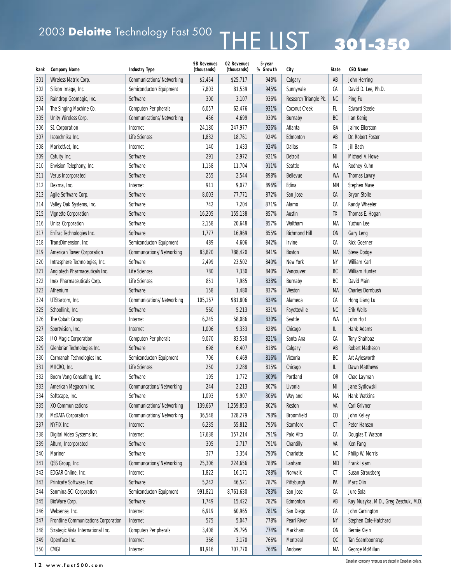# 2003 Deloitte Technology Fast 500  $\textsf{THE LIST}$  301–350

| Rank | <b>Company Name</b>                  | <b>Industry Type</b>             | 98 Revenues<br>(thousands) | 02 Revenues<br>(thousands) | 5-year<br>% Growth | City                  | <b>State</b>                | <b>CEO Name</b>                      |
|------|--------------------------------------|----------------------------------|----------------------------|----------------------------|--------------------|-----------------------|-----------------------------|--------------------------------------|
| 301  | Wireless Matrix Corp.                | Communications/Networking        | \$2,454                    | \$25,717                   | 948%               | Calgary               | AB                          | John Herring                         |
| 302  | Silicon Image, Inc.                  | Semiconductor/Equipment          | 7,803                      | 81,539                     | 945%               | Sunnyvale             | СA                          | David D. Lee, Ph.D.                  |
| 303  | Raindrop Geomagic, Inc.              | Software                         | 300                        | 3,107                      | 936%               | Research Triangle Pk. | NC                          | Ping Fu                              |
| 304  | The Singing Machine Co.              | Computer/Peripherals             | 6,057                      | 62,476                     | 931%               | <b>Coconut Creek</b>  | FL                          | <b>Edward Steele</b>                 |
| 305  | Unity Wireless Corp.                 | <b>Communications/Networking</b> | 456                        | 4,699                      | 930%               | Burnaby               | BC                          | lian Kenig                           |
| 306  | <b>S1 Corporation</b>                | Internet                         | 24,180                     | 247,977                    | 926%               | Atlanta               | GA                          | Jaime Ellerston                      |
| 307  | Isotechnika Inc.                     | Life Sciences                    | 1,832                      | 18,761                     | 924%               | Edmonton              | AB                          | Dr. Robert Foster                    |
| 308  | MarketNet, Inc.                      | Internet                         | 140                        | 1,433                      | 924%               | <b>Dallas</b>         | TX                          | Jill Bach                            |
| 309  | Catuity Inc.                         | Software                         | 291                        | 2,972                      | 921%               | <b>Detroit</b>        | MI                          | Michael V. Howe                      |
| 310  | Envision Telephony, Inc.             | Software                         | 1,158                      | 11,704                     | 911%               | Seattle               | <b>WA</b>                   | Rodney Kuhn                          |
| 311  | Verus Incorporated                   | Software                         | 255                        | 2,544                      | 898%               | Bellevue              | WA                          | <b>Thomas Lawry</b>                  |
| 312  | Dexma, Inc.                          | Internet                         | 911                        | 9,077                      | 896%               | Edina                 | <b>MN</b>                   | Stephen Mase                         |
| 313  | Agile Software Corp.                 | Software                         | 8,003                      | 77,771                     | 872%               | San Jose              | CA                          | <b>Bryan Stolle</b>                  |
| 314  | Valley Oak Systems, Inc.             | Software                         | 742                        | 7,204                      | 871%               | Alamo                 | СA                          | <b>Randy Wheeler</b>                 |
| 315  | <b>Vignette Corporation</b>          | Software                         | 16,205                     | 155,138                    | 857%               | Austin                | TX                          | Thomas E. Hogan                      |
| 316  | <b>Unica Corporation</b>             | Software                         | 2,158                      | 20,648                     | 857%               | Waltham               | MA                          | Yuchun Lee                           |
| 317  | EnTrac Technologies Inc.             | Software                         | 1,777                      | 16,969                     | 855%               | <b>Richmond Hill</b>  | $0N$                        | Gary Leng                            |
| 318  | TransDimension, Inc.                 | Semiconductor/Equipment          | 489                        | 4,606                      | 842%               | <b>Irvine</b>         | СA                          | <b>Rick Goerner</b>                  |
| 319  | American Tower Corporation           | Communcations/Networking         | 83,820                     | 788,420                    | 841%               | <b>Boston</b>         | MA                          | Steve Dodge                          |
| 320  | Intrasphere Technologies, Inc.       | Software                         | 2,499                      | 23,502                     | 840%               | New York              | NY                          | William Karl                         |
| 321  | Angiotech Pharmaceuticals Inc.       | <b>Life Sciences</b>             | 780                        | 7,330                      | 840%               | Vancouver             | BC                          | <b>William Hunter</b>                |
| 322  | Inex Pharmaceuticals Corp.           | <b>Life Sciences</b>             | 851                        | 7,985                      | 838%               | Burnaby               | BC                          | David Main                           |
| 323  | Athenium                             | Software                         | 158                        | 1,480                      | 837%               | Weston                | MA                          | <b>Charles Dornbush</b>              |
| 324  | UTStarcom, Inc.                      | <b>Communications/Networking</b> | 105,167                    | 981,806                    | 834%               | Alameda               | CA                          | Hong Liang Lu                        |
| 325  | Schoollink, Inc.                     | Software                         | 560                        | 5,213                      | 831%               | Fayetteville          | <b>NC</b>                   | Erik Wells                           |
| 326  | The Cobalt Group                     | Internet                         | 6,245                      | 58,086                     | 830%               | Seattle               | WA                          | John Holt                            |
| 327  | Sportvision, Inc.                    | Internet                         | 1,006                      | 9,333                      | 828%               | Chicago               | IL.                         | Hank Adams                           |
| 328  | I/O Magic Corporation                | Computer/Peripherals             | 9,070                      | 83,530                     | 821%               | Santa Ana             | СA                          | <b>Tony Shahbaz</b>                  |
| 329  | Glenbriar Technologies Inc.          | Software                         | 698                        | 6,407                      | 818%               | Calgary               | AB                          | <b>Robert Matheson</b>               |
| 330  | Carmanah Technologies Inc.           | Semiconductor/Equipment          | 706                        | 6,469                      | 816%               | Victoria              | BC                          | Art Aylesworth                       |
| 331  | MIICRO, Inc.                         | Life Sciences                    | 250                        | 2,288                      | 815%               | Chicago               | IL                          | Dawn Matthews                        |
| 332  | Boom Vang Consulting, Inc.           | Software                         | 195                        | 1,772                      | 809%               | Portland              | <b>OR</b>                   | Chad Layman                          |
| 333  | American Megacom Inc.                | Communcations/Networking         | 244                        | 2,213                      | 807%               | Livonia               | MI                          | Jane Sydlowski                       |
| 334  | Softscape, Inc.                      | Software                         | 1,093                      | 9,907                      | 806%               | Wayland               | МA                          | Hank Watkins                         |
| 335  | XO Communications                    | <b>Communications/Networking</b> | 139,667                    | 1,259,853                  | 802%               | Reston                | VA                          | Carl Grivner                         |
| 336  | <b>McDATA Corporation</b>            | <b>Communications/Networking</b> | 36,548                     | 328,279                    | 798%               | Broomfield            | $\boldsymbol{\mathfrak{c}}$ | John Kelley                          |
| 337  | NYFIX Inc.                           | Internet                         | 6,235                      | 55,812                     | 795%               | Stamford              | CT                          | Peter Hansen                         |
| 338  | Digital Video Systems Inc.           | Internet                         | 17,638                     | 157,214                    | 791%               | Palo Alto             | СA                          | Douglas T. Watson                    |
| 339  | Altum, Incorporated                  | Software                         | 305                        | 2,717                      | 791%               | Chantilly             | VA                          | Ken Fang                             |
| 340  | Mariner                              | Software                         | 377                        | 3,354                      | 790%               | Charlotte             | NC                          | Philip W. Morris                     |
| 341  | QSS Group, Inc.                      | Communcations/Networking         | 25,306                     | 224,656                    | 788%               | Lanham                | <b>MD</b>                   | Frank Islam                          |
| 342  | EDGAR Online, Inc.                   | Internet                         | 1,822                      | 16,171                     | 788%               | Norwalk               | СT                          | Susan Strausberg                     |
| 343  | Printcafe Software, Inc.             | Software                         | 5,242                      | 46,521                     | 787%               | Pittsburgh            | PA                          | Marc Olin                            |
| 344  | Sanmina-SCI Corporation              | Semiconductor/Equipment          | 991,821                    | 8,761,630                  | 783%               | San Jose              | СA                          | Jure Sola                            |
| 345  | BioWare Corp.                        | Software                         | 1,749                      | 15,422                     | 782%               | Edmonton              | AB                          | Ray Muzyka, M.D., Greg Zeschuk, M.D. |
| 346  | Websense, Inc.                       | Internet                         | 6,919                      | 60,965                     | 781%               | San Diego             | СA                          | John Carrington                      |
| 347  | Frontline Communications Corporation | Internet                         | 575                        | 5,047                      | 778%               | Pearl River           | NY                          | Stephen Cole-Hatchard                |
| 348  | Strategic Vista International Inc.   | Computer/Peripherals             | 3,408                      | 29,795                     | 774%               | Markham               | ON                          | Bernie Klein                         |
| 349  | Openface Inc.                        | Internet                         | 366                        | 3,170                      | 766%               | Montreal              | $_{\rm OC}$                 | Tan Soamboonsrup                     |
| 350  | <b>CMGI</b>                          | Internet                         | 81,916                     | 707,770                    | 764%               | Andover               | МA                          | George McMillan                      |

12 www.fast500.com Canadian company revenues are stated in Canadian dollars.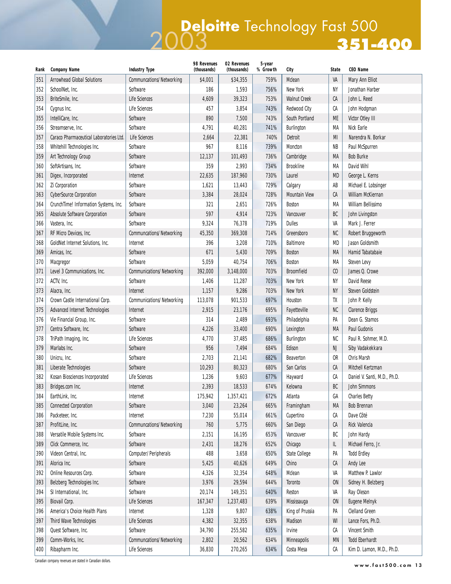## **351-400** 2003 **Deloitte** Technology Fast 500

| Rank | <b>Company Name</b>                     | <b>Industry Type</b>      | 98 Revenues<br>(thousands) | 02 Revenues<br>(thousands) | 5-year<br>% Growth | City                 | <b>State</b>   | <b>CEO Name</b>              |
|------|-----------------------------------------|---------------------------|----------------------------|----------------------------|--------------------|----------------------|----------------|------------------------------|
| 351  | <b>Arrowhead Global Solutions</b>       | Communcations/Networking  | \$4,001                    | \$34,355                   | 759%               | Mclean               | VA             | Mary Ann Elliot              |
| 352  | SchoolNet, Inc.                         | Software                  | 186                        | 1,593                      | 756%               | New York             | NY             | Jonathan Harber              |
| 353  | BriteSmile, Inc.                        | <b>Life Sciences</b>      | 4,609                      | 39,323                     | 753%               | <b>Walnut Creek</b>  | СA             | John L. Reed                 |
| 354  | Cygnus Inc.                             | <b>Life Sciences</b>      | 457                        | 3,854                      | 743%               | <b>Redwood City</b>  | СA             | John Hodgman                 |
| 355  | IntelliCare, Inc.                       | Software                  | 890                        | 7,500                      | 743%               | South Portland       | ME             | Victor Otley III             |
| 356  | Streamserve, Inc.                       | Software                  | 4,791                      | 40,281                     | 741%               | <b>Burlington</b>    | MA             | Nick Earle                   |
| 357  | Caraco Pharmaceutical Laboratories Ltd. | <b>Life Sciences</b>      | 2,664                      | 22,381                     | 740%               | Detroit              | MI             | Narendra N. Borkar           |
| 358  | Whitehill Technologies Inc.             | Software                  | 967                        | 8,116                      | 739%               | Moncton              | <b>NB</b>      | Paul McSpurren               |
| 359  | Art Technology Group                    | Software                  | 12,137                     | 101,493                    | 736%               | Cambridge            | MA             | <b>Bob Burke</b>             |
| 360  | SoftArtisans, Inc.                      | Software                  | 359                        | 2,993                      | 734%               | <b>Brookline</b>     | МA             | David Wihl                   |
| 361  | Digex, Incorporated                     | Internet                  | 22,635                     | 187,960                    | 730%               | Laurel               | MD             | George L. Kerns              |
| 362  | Zi Corporation                          | Software                  | 1,621                      | 13,443                     | 729%               | Calgary              | AB             | Michael E. Lobsinger         |
| 363  | <b>CyberSource Corporation</b>          | Software                  | 3,384                      | 28,024                     | 728%               | <b>Mountain View</b> | СA             | William McKiernan            |
| 364  | CrunchTime! Information Systems, Inc.   | Software                  | 321                        | 2,651                      | 726%               | <b>Boston</b>        | МA             | William Bellissimo           |
| 365  | <b>Absolute Software Corporation</b>    | Software                  | 597                        | 4,914                      | 723%               | Vancouver            | BC             | John Livingston              |
| 366  | Vastera, Inc.                           | Software                  | 9,324                      | 76,378                     | 719%               | <b>Dulles</b>        | VA             | Mark J. Ferrer               |
| 367  | RF Micro Devices, Inc.                  | Communcations/Networking  | 45,350                     | 369,308                    | 714%               | Greensboro           | NC             | Robert Bruggeworth           |
| 368  | GoldNet Internet Solutions, Inc.        | Internet                  | 396                        | 3,208                      | 710%               | Baltimore            | <b>MD</b>      | Jason Goldsmith              |
| 369  | Amicas, Inc.                            | Software                  | 671                        | 5,430                      | 709%               | <b>Boston</b>        | MA             | Hamid Tabatabaie             |
| 370  | Macgregor                               | Software                  | 5,059                      | 40,754                     | 706%               | <b>Boston</b>        | MA             | Steven Levy                  |
| 371  | Level 3 Communications, Inc.            | Communications/Networking | 392,000                    | 3,148,000                  | 703%               | <b>Broomfield</b>    | C <sub>0</sub> | James Q. Crowe               |
| 372  | ACTV, Inc.                              | Software                  | 1,406                      | 11,287                     | 703%               | New York             | NΥ             | <b>David Reese</b>           |
| 373  | Alacra, Inc.                            | Internet                  | 1,157                      | 9,286                      | 703%               | New York             | <b>NY</b>      | Steven Goldstein             |
| 374  | Crown Castle International Corp.        | Communications/Networking | 113,078                    | 901,533                    | 697%               | Houston              | TX             | John P. Kelly                |
| 375  | <b>Advanced Internet Technologies</b>   | Internet                  | 2,915                      | 23,176                     | 695%               | Fayetteville         | NC             | <b>Clarence Briggs</b>       |
| 376  | Vie Financial Group, Inc.               | Software                  | 314                        | 2,489                      | 693%               | Philadelphia         | PA             | Dean G. Stamos               |
| 377  | Centra Software, Inc.                   | Software                  | 4,226                      | 33,400                     | 690%               | Lexington            | MA             | <b>Paul Gudonis</b>          |
| 378  | TriPath Imaging, Inc.                   | <b>Life Sciences</b>      | 4,770                      | 37,485                     | 686%               | Burlington           | NC             | Paul R. Sohmer, M.D.         |
| 379  | Marlabs Inc.                            | Software                  | 956                        | 7,494                      | 684%               | Edison               | NJ             | Siby Vadakekkara             |
| 380  | Unicru, Inc.                            | Software                  | 2,703                      | 21,141                     | 682%               | Beaverton            | <b>OR</b>      | <b>Chris Marsh</b>           |
| 381  | Liberate Technologies                   | Software                  | 10,293                     | 80,323                     | 680%               | San Carlos           | СA             | Mitchell Kertzman            |
| 382  | Kosan Biosciences Incorporated          | <b>Life Sciences</b>      | 1,236                      | 9,603                      | 677%               | Hayward              | CА             | Daniel V. Santi, M.D., Ph.D. |
| 383  | Bridges.com Inc.                        | Internet                  | 2,393                      | 18,533                     | 674%               | Kelowna              | BC             | <b>John Simmons</b>          |
| 384  | EarthLink, Inc.                         | Internet                  | 175,942                    | 1,357,421                  | 672%               | Atlanta              | GA             | <b>Charles Betty</b>         |
| 385  | <b>Connected Corporation</b>            | Software                  | 3,040                      | 23,264                     | 665%               | Framingham           | МA             | <b>Bob Brennan</b>           |
| 386  | Packeteer, Inc.                         | Internet                  | 7,230                      | 55,014                     | 661%               | Cupertino            | СA             | Dave Côté                    |
| 387  | ProfitLine, Inc.                        | Communcations/Networking  | 760                        | 5,775                      | 660%               | San Diego            | СA             | Rick Valencia                |
| 388  | Versatile Mobile Systems Inc.           | Software                  | 2,151                      | 16,195                     | 653%               | Vancouver            | BC             | John Hardy                   |
| 389  | Click Commerce, Inc.                    | Software                  | 2,431                      | 18,276                     | 652%               | Chicago              | Щ.             | Michael Ferro, Jr.           |
| 390  | Videon Central, Inc.                    | Computer/Peripherals      | 488                        | 3,658                      | 650%               | <b>State College</b> | PA             | <b>Todd Erdley</b>           |
| 391  | Alorica Inc.                            | Software                  | 5,425                      | 40,626                     | 649%               | Chino                | СA             | Andy Lee                     |
| 392  | Online Resources Corp.                  | Software                  | 4,326                      | 32,354                     | 648%               | Mclean               | VA             | Matthew P. Lawlor            |
| 393  | Belzberg Technologies Inc.              | Software                  | 3,976                      | 29,594                     | 644%               | Toronto              | <b>ON</b>      | Sidney H. Belzberg           |
| 394  | SI International, Inc.                  | Software                  | 20,174                     | 149,351                    | 640%               | Reston               | VA             | Ray Oleson                   |
| 395  | Biovail Corp.                           | <b>Life Sciences</b>      | 167,347                    | 1,237,483                  | 639%               | Mississauga          | <b>ON</b>      | <b>Eugene Melnyk</b>         |
| 396  | America's Choice Health Plans           | Internet                  | 1,328                      | 9,807                      | 638%               | King of Prussia      | PA             | <b>Clelland Green</b>        |
| 397  | Third Wave Technologies                 | <b>Life Sciences</b>      | 4,382                      | 32,355                     | 638%               | Madison              | WI             | Lance Fors, Ph.D.            |
| 398  | Quest Software, Inc.                    | Software                  | 34,790                     | 255,582                    | 635%               | Irvine               | СA             | <b>Vincent Smith</b>         |
| 399  | Comm-Works, Inc.                        | Communcations/Networking  | 2,802                      | 20,562                     | 634%               | Minneapolis          | MN             | <b>Todd Eberhardt</b>        |
| 400  | Ribapharm Inc.                          | Life Sciences             | 36,830                     | 270,265                    | 634%               | Costa Mesa           | CА             | Kim D. Lamon, M.D., Ph.D.    |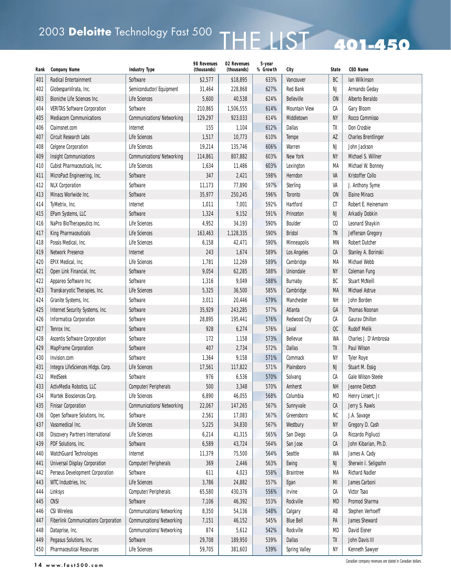# 2003 Deloitte Technology Fast 500  $\overline{HHE}$  LIST 401-450

| Rank | <b>Company Name</b>                         | <b>Industry Type</b>             | 98 Revenues<br>(thousands) | 02 Revenues<br>(thousands) | 5-year<br>% Growth | City                 | <b>State</b>                | <b>CEO Name</b>            |
|------|---------------------------------------------|----------------------------------|----------------------------|----------------------------|--------------------|----------------------|-----------------------------|----------------------------|
| 401  | <b>Radical Entertainment</b>                | Software                         | \$2,577                    | \$18,895                   | 633%               | Vancouver            | BC                          | Ian Wilkinson              |
| 402  | GlobespanVirata, Inc.                       | Semiconductor/Equipment          | 31,464                     | 228,868                    | 627%               | <b>Red Bank</b>      | NJ                          | Armando Geday              |
| 403  | Bioniche Life Sciences Inc.                 | Life Sciences                    | 5,600                      | 40,538                     | 624%               | <b>Belleville</b>    | 0N                          | Alberto Beraldo            |
| 404  | <b>VERITAS Software Corporation</b>         | Software                         | 210,865                    | 1,506,555                  | 614%               | <b>Mountain View</b> | СA                          | Gary Bloom                 |
| 405  | <b>Mediacom Communications</b>              | <b>Communications/Networking</b> | 129,297                    | 923,033                    | 614%               | Middletown           | <b>NY</b>                   | Rocco Commisso             |
| 406  | Claimsnet.com                               | Internet                         | 155                        | 1,104                      | 612%               | <b>Dallas</b>        | TX                          | Don Crosbie                |
| 407  | Circuit Research Labs                       | <b>Life Sciences</b>             | 1,517                      | 10,773                     | 610%               | Tempe                | AZ                          | <b>Charles Brentlinger</b> |
| 408  | <b>Celgene Corporation</b>                  | <b>Life Sciences</b>             | 19,214                     | 135,746                    | 606%               | Warren               | NJ                          | John Jackson               |
| 409  | <b>Insight Communications</b>               | <b>Communications/Networking</b> | 114,861                    | 807,882                    | 603%               | <b>New York</b>      | NΥ                          | Michael S. Willner         |
| 410  | Cubist Pharmaceuticals, Inc.                | <b>Life Sciences</b>             | 1,634                      | 11,486                     | 603%               | Lexington            | МA                          | Michael W. Bonney          |
| 411  | MicroPact Engineering, Inc.                 | Software                         | 347                        | 2,421                      | 598%               | Herndon              | VA                          | Kristoffer Collo           |
| 412  | <b>NLX Corporation</b>                      | Software                         | 11,173                     | 77,890                     | 597%               | Sterling             | VA                          | J. Anthony Syme            |
| 413  | Minacs Worlwide Inc.                        | Software                         | 35,977                     | 250,245                    | 596%               | Toronto              | <b>ON</b>                   | <b>Elaine Minacs</b>       |
| 414  | TyMetrix, Inc.                              | Internet                         | 1,011                      | 7,001                      | 592%               | Hartford             | СT                          | Robert E. Heinemann        |
| 415  | EPam Systems, LLC                           | Software                         | 1,324                      | 9,152                      | 591%               | Princeton            | NJ                          | <b>Arkadiy Dobkin</b>      |
| 416  | NaPro BioTherapeutics Inc.                  | <b>Life Sciences</b>             | 4,952                      | 34,193                     | 590%               | <b>Boulder</b>       | $\boldsymbol{\mathfrak{c}}$ | Leonard Shaykin            |
| 417  | <b>King Pharmaceuticals</b>                 | <b>Life Sciences</b>             | 163,463                    | 1,128,335                  | 590%               | <b>Bristol</b>       | TN                          | Jefferson Gregory          |
| 418  | Possis Medical, Inc.                        | <b>Life Sciences</b>             | 6,158                      | 42,471                     | 590%               | Minneapolis          | ΜN                          | <b>Robert Dutcher</b>      |
| 419  | <b>Network Presence</b>                     | Internet                         | 243                        | 1,674                      | 589%               | Los Angeles          | CA                          | Stanley A. Borinski        |
| 420  | EPIX Medical, Inc.                          | <b>Life Sciences</b>             | 1,781                      | 12,269                     | 589%               | Cambridge            | MA                          | Michael Webb               |
| 421  | Open Link Financial, Inc.                   | Software                         | 9,054                      | 62,285                     | 588%               | Uniondale            | NΥ                          | <b>Coleman Fung</b>        |
| 422  | Appareo Software Inc.                       | Software                         | 1,316                      | 9,049                      | 588%               | Burnaby              | BC                          | <b>Stuart McNeill</b>      |
| 423  | Transkaryotic Therapies, Inc.               | <b>Life Sciences</b>             | 5,325                      | 36,500                     | 585%               | Cambridge            | MA                          | <b>Michael Astrue</b>      |
| 424  | Granite Systems, Inc.                       | Software                         | 3,011                      | 20,446                     | 579%               | Manchester           | <b>NH</b>                   | John Borden                |
| 425  | Internet Security Systems, Inc.             | Software                         | 35,929                     | 243,285                    | 577%               | Atlanta              | GA                          | <b>Thomas Noonan</b>       |
| 426  | Informatica Corporation                     | Software                         | 28,895                     | 195,441                    | 576%               | <b>Redwood City</b>  | СA                          | <b>Gaurav Dhillon</b>      |
| 427  | Tenrox Inc.                                 | Software                         | 928                        | 6,274                      | 576%               | Laval                | $_{\rm OC}$                 | <b>Rudolf Melik</b>        |
| 428  | <b>Ascentis Software Corporation</b>        | Software                         | 172                        | 1,158                      | 573%               | Bellevue             | WA                          | Charles J. D'Ambrosia      |
| 429  | MapFrame Corporation                        | Software                         | 407                        | 2,734                      | 572%               | <b>Dallas</b>        | TX                          | Paul Wilson                |
| 430  | Invision.com                                | Software                         | 1,364                      | 9,158                      | 571%               | Commack              | <b>NY</b>                   | <b>Tyler Roye</b>          |
| 431  | Integra LifeSciences HIdgs. Corp.           | <b>Life Sciences</b>             | 17,561                     | 117,822                    | 571%               | Plainsboro           | NJ                          | Stuart M. Essig            |
| 432  | MedSeek                                     | Software                         | 976                        | 6,536                      | 570%               | Solvang              | CA                          | <b>Gale Wilson-Steele</b>  |
| 433  | ActivMedia Robotics, LLC                    | Computer/Peripherals             | 500                        | 3,348                      | 570%               | Amherst              | <b>NH</b>                   | Jeanne Dietsch             |
| 434  | Martek Biosciences Corp.                    | Life Sciences                    | 6,890                      | 46,055                     | 568%               | Columbia             | MD                          | Henry Linsert, Jr.         |
| 435  | <b>Finisar Corporation</b>                  | <b>Communications/Networking</b> | 22,067                     | 147,265                    | 567%               | Sunnyvale            | СA                          | Jerry S. Rawls             |
| 436  | Open Software Solutions, Inc.               | Software                         | 2,561                      | 17,083                     | 567%               | Greensboro           | NC                          | J.A. Savage                |
| 437  | Vasomedical Inc.                            | Life Sciences                    | 5,225                      | 34,830                     | 567%               | Westbury             | <b>NY</b>                   | Gregory D. Cash            |
| 438  | <b>Discovery Partners International</b>     | Life Sciences                    | 6,214                      | 41,315                     | 565%               | San Diego            | СA                          | Riccardo Pigliucci         |
| 439  | PDF Solutions, Inc.                         | Software                         | 6,589                      | 43,724                     | 564%               | San Jose             | СA                          | John Kibarian, Ph.D.       |
| 440  | WatchGuard Technologies                     | Internet                         | 11,379                     | 75,500                     | 564%               | Seattle              | WA                          | James A. Cady              |
| 441  | <b>Universal Display Corporation</b>        | Computer/Peripherals             | 369                        | 2,446                      | 563%               | Ewing                | NJ                          | Sherwin I. Seligsohn       |
| 442  | Perseus Development Corporation             | Software                         | 611                        | 4,023                      | 558%               | <b>Braintree</b>     | МA                          | <b>Richard Nadler</b>      |
| 443  | WTC Industries, Inc.                        | Life Sciences                    | 3,786                      | 24,882                     | 557%               | Egan                 | MI                          | James Carboni              |
| 444  | Linksys                                     | Computer/Peripherals             | 65,580                     | 430,376                    | 556%               | Irvine               | СA                          | Victor Tsao                |
| 445  | <b>CNSI</b>                                 | Software                         | 7,106                      | 46,392                     | 553%               | Rockville            | <b>MD</b>                   | Promod Sharma              |
| 446  | <b>CSI Wireless</b>                         | Communcations/Networking         | 8,350                      | 54,136                     | 548%               | Calgary              | AB                          | Stephen Verhoeff           |
| 447  | <b>Fiberlink Communications Corporation</b> | Communcations/Networking         | 7,151                      | 46,152                     | 545%               | <b>Blue Bell</b>     | PA                          | James Sheward              |
| 448  | Dataprise, Inc.                             | Communcations/Networking         | 874                        | 5,612                      | 542%               | Rockville            | MD                          | <b>David Eisner</b>        |
| 449  | Pegasus Solutions, Inc.                     | Software                         | 29,708                     | 189,950                    | 539%               | <b>Dallas</b>        | TX                          | John Davis III             |
| 450  | <b>Pharmaceutical Resources</b>             | Life Sciences                    | 59,705                     | 381,603                    | 539%               | <b>Spring Valley</b> | <b>NY</b>                   | Kenneth Sawyer             |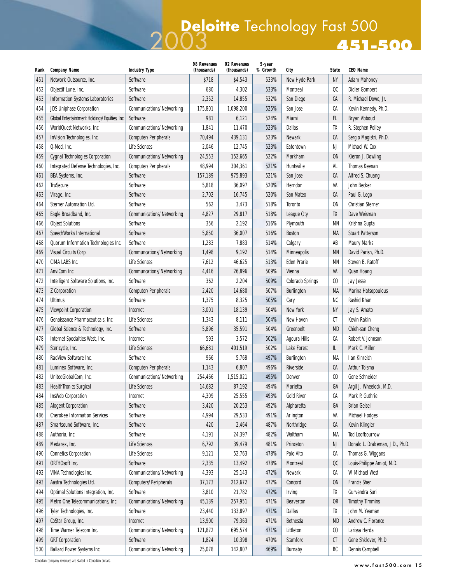### **451-500** 2003 **Deloitte** Technology Fast 500

| Rank | <b>Company Name</b>                           | <b>Industry Type</b>      | 98 Revenues<br>(thousands) | 02 Revenues<br>(thousands) | 5-year<br>% Growth | City                | <b>State</b>      | <b>CEO Name</b>                 |
|------|-----------------------------------------------|---------------------------|----------------------------|----------------------------|--------------------|---------------------|-------------------|---------------------------------|
| 451  | Network Outsource, Inc.                       | Software                  | \$718                      | \$4,543                    | 533%               | New Hyde Park       | <b>NY</b>         | <b>Adam Mahoney</b>             |
| 452  | Objectif Lune, Inc.                           | Software                  | 680                        | 4,302                      | 533%               | Montreal            | QC                | <b>Didier Gombert</b>           |
| 453  | <b>Information Systems Laboratories</b>       | Software                  | 2,352                      | 14,855                     | 532%               | San Diego           | СA                | R. Michael Dowe, Jr.            |
| 454  | <b>JDS Uniphase Corporation</b>               | Communications/Networking | 175,801                    | 1,098,200                  | 525%               | San Jose            | CА                | Kevin Kennedy, Ph.D.            |
| 455  | Global Entertaintment Holdings/Equities, Inc. | Software                  | 981                        | 6,121                      | 524%               | Miami               | FL                | Bryan Abboud                    |
| 456  | WorldQuest Networks, Inc.                     | Communications/Networking | 1,841                      | 11,470                     | 523%               | <b>Dallas</b>       | TX                | R. Stephen Polley               |
| 457  | InVision Technologies, Inc.                   | Computer/Peripherals      | 70,494                     | 439,131                    | 523%               | <b>Newark</b>       | СA                | Sergio Magistri, Ph.D.          |
| 458  | Q-Med, Inc.                                   | Life Sciences             | 2,046                      | 12,745                     | 523%               | Eatontown           | NJ                | Michael W. Cox                  |
| 459  | <b>Cygnal Technologies Corporation</b>        | Communications/Networking | 24,553                     | 152,665                    | 522%               | Markham             | <b>ON</b>         | Kieron J. Dowling               |
| 460  | Integrated Defense Technologies, Inc.         | Computer/Peripherals      | 48,994                     | 304,361                    | 521%               | Huntsville          | AL                | <b>Thomas Keenan</b>            |
| 461  | BEA Systems, Inc.                             | Software                  | 157,189                    | 975,893                    | 521%               | San Jose            | СA                | Alfred S. Chuang                |
| 462  | <b>TruSecure</b>                              | Software                  | 5,818                      | 36,097                     | 520%               | Herndon             | VA                | John Becker                     |
| 463  | Virage, Inc.                                  | Software                  | 2,702                      | 16,745                     | 520%               | San Mateo           | CA                | Paul G. Lego                    |
| 464  | <b>Sterner Automation Ltd.</b>                | Software                  | 562                        | 3,473                      | 518%               | Toronto             | ON                | <b>Christian Sterner</b>        |
| 465  | Eagle Broadband, Inc.                         | Communications/Networking | 4,827                      | 29,817                     | 518%               | League City         | TX                | Dave Weisman                    |
| 466  | <b>Object Solutions</b>                       | Software                  | 356                        | 2,192                      | 516%               | Plymouth            | <b>MN</b>         | Krishna Gupta                   |
| 467  | SpeechWorks International                     | Software                  | 5,850                      | 36,007                     | 516%               | <b>Boston</b>       | MA                | <b>Stuart Patterson</b>         |
| 468  | Quorum Information Technologies Inc.          | Software                  | 1,283                      | 7,883                      | 514%               | Calgary             | AB                | <b>Maury Marks</b>              |
| 469  | Visual Circuits Corp.                         | Communcations/Networking  | 1,498                      | 9,192                      | 514%               | Minneapolis         | <b>MN</b>         | David Parish, Ph.D.             |
| 470  | CIMA LABS Inc.                                | Life Sciences             | 7,612                      | 46,625                     | 513%               | <b>Eden Prarie</b>  | ΜN                | Steven B. Ratoff                |
| 471  | AnviCom Inc.                                  | Communcations/Networking  | 4,416                      | 26,896                     | 509%               | Vienna              | VA                | <b>Quan Hoang</b>               |
| 472  | Intelligent Software Solutions, Inc.          | Software                  | 362                        | 2,204                      | 509%               | Colorado Springs    | $\mathfrak{c}$    | Jay Jesse                       |
| 473  | <b>Z</b> Corporation                          | Computer/Peripherals      | 2,420                      | 14,680                     | 507%               | Burlington          | MA                | Marina Hatsopoulous             |
| 474  | <b>Ultimus</b>                                | Software                  | 1,375                      | 8,325                      | 505%               | Cary                | NC                | Rashid Khan                     |
| 475  | <b>Viewpoint Corporation</b>                  | Internet                  | 3,001                      | 18,139                     | 504%               | New York            | <b>NY</b>         | Jay S. Amato                    |
| 476  | Genaissance Pharmaceuticals, Inc.             | Life Sciences             | 1,343                      | 8,111                      | 504%               | New Haven           | СT                | <b>Kevin Rakin</b>              |
| 477  | Global Science & Technology, Inc.             | Software                  | 5,896                      | 35,591                     | 504%               | Greenbelt           | <b>MD</b>         | Chieh-san Cheng                 |
| 478  | Internet Specialties West, Inc.               | Internet                  | 593                        | 3,572                      | 502%               | <b>Agoura Hills</b> | СA                | Robert V. Johnson               |
| 479  | Stericycle, Inc.                              | Life Sciences             | 66,681                     | 401,519                    | 502%               | Lake Forest         | IL.               | Mark C. Miller                  |
| 480  | RadView Software Inc.                         | Software                  | 966                        | 5,768                      | 497%               | Burlington          | МA                | <b>Ilan Kinreich</b>            |
| 481  | Luminex Software, Inc.                        | Computer/Peripherals      | 1,143                      | 6,807                      | 496%               | Riverside           | СA                | Arthur Tolsma                   |
| 482  | UnitedGlobalCom, Inc.                         | Communications/Networking | 254,466                    | 1,515,021                  | 495%               | Denver              | $\mathfrak{c}$    | Gene Schneider                  |
| 483  | <b>HealthTronics Surgical</b>                 | <b>Life Sciences</b>      | 14,682                     | 87,192                     | 494%               | Marietta            | GA                | Argil J. Wheelock, M.D.         |
| 484  | <b>InsWeb Corporation</b>                     | Internet                  | 4,309                      | 25,555                     | 493%               | <b>Gold River</b>   | CA                | Mark P. Guthrie                 |
| 485  | <b>Alogent Corporation</b>                    | Software                  | 3,420                      | 20,253                     | 492%               | Alpharetta          | GA                | <b>Brian Geisel</b>             |
| 486  | <b>Cherokee Information Services</b>          | Software                  | 4,994                      | 29,533                     | 491%               | Arlington           | VA                | <b>Michael Hodges</b>           |
| 487  | Smartsound Software, Inc.                     | Software                  | 420                        | 2,464                      | 487%               | Northridge          | СA                | Kevin Klingler                  |
| 488  | Authoria, Inc.                                | Software                  | 4,191                      | 24,397                     | 482%               | Waltham             | МA                | <b>Tod Loofbourrow</b>          |
| 489  | Medarex, Inc.                                 | <b>Life Sciences</b>      | 6,792                      | 39,479                     | 481%               | Princeton           | NJ                | Donald L. Drakeman, J.D., Ph.D. |
| 490  | <b>Connetics Corporation</b>                  | Life Sciences             | 9,121                      | 52,763                     | 478%               | Palo Alto           | СA                | Thomas G. Wiggans               |
| 491  | ORTHOsoft Inc.                                | Software                  | 2,335                      | 13,492                     | 478%               | Montreal            | $_{\rm OC}$       | Louis-Philippe Amiot, M.D.      |
| 492  | VINA Technologies Inc.                        | Communications/Networking | 4,393                      | 25,143                     | 472%               | <b>Newark</b>       | СA                | W. Michael West                 |
| 493  | Aastra Technologies Ltd.                      | Computers/Peripherals     | 37,173                     | 212,672                    | 472%               | Concord             | <b>ON</b>         | <b>Francis Shen</b>             |
| 494  | Optimal Solutions Integration, Inc.           | Software                  | 3,810                      | 21,782                     | 472%               | <b>Irving</b>       | TX                | Gurvendra Suri                  |
| 495  | Metro One Telecommunications, Inc.            | Communications/Networking | 45,139                     | 257,951                    | 471%               | Beaverton           | OR                | <b>Timothy Timmins</b>          |
| 496  | Tyler Technologies, Inc.                      | Software                  | 23,440                     | 133,897                    | 471%               | Dallas              | TX                | John M. Yeaman                  |
| 497  | CoStar Group, Inc.                            | Internet                  | 13,900                     | 79,363                     | 471%               | Bethesda            | <b>MD</b>         | Andrew C. Florance              |
| 498  | Time Warner Telecom Inc.                      | Communications/Networking | 121,872                    | 695,574                    | 471%               | Littleton           | $\mathop{\rm CO}$ | Larissa Herda                   |
| 499  | <b>GRT</b> Corporation                        | Software                  | 1,824                      | 10,398                     | 470%               | Stamford            | СT                | Gene Shklover, Ph.D.            |
| 500  | <b>Ballard Power Systems Inc.</b>             | Communications/Networking | 25,078                     | 142,807                    | 469%               | <b>Burnaby</b>      | BC                | Dennis Campbell                 |